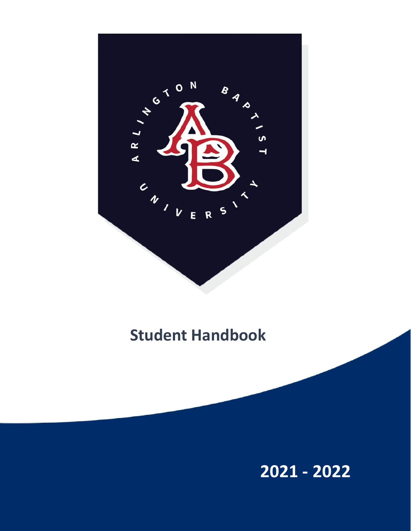

# **Student Handbook**

**2021 - 2022**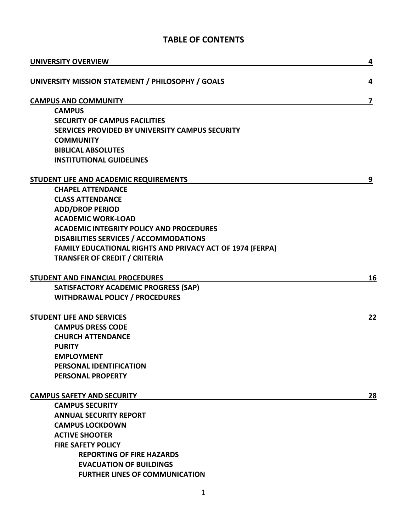## **TABLE OF CONTENTS**

| <b>UNIVERSITY OVERVIEW</b>                                       | 4  |
|------------------------------------------------------------------|----|
| UNIVERSITY MISSION STATEMENT / PHILOSOPHY / GOALS                | 4  |
| <b>CAMPUS AND COMMUNITY</b>                                      | 7  |
| <b>CAMPUS</b>                                                    |    |
| <b>SECURITY OF CAMPUS FACILITIES</b>                             |    |
| SERVICES PROVIDED BY UNIVERSITY CAMPUS SECURITY                  |    |
| <b>COMMUNITY</b>                                                 |    |
| <b>BIBLICAL ABSOLUTES</b>                                        |    |
| <b>INSTITUTIONAL GUIDELINES</b>                                  |    |
| <b>STUDENT LIFE AND ACADEMIC REQUIREMENTS</b>                    | 9  |
| <b>CHAPEL ATTENDANCE</b>                                         |    |
| <b>CLASS ATTENDANCE</b>                                          |    |
| <b>ADD/DROP PERIOD</b>                                           |    |
| <b>ACADEMIC WORK-LOAD</b>                                        |    |
| <b>ACADEMIC INTEGRITY POLICY AND PROCEDURES</b>                  |    |
| <b>DISABILITIES SERVICES / ACCOMMODATIONS</b>                    |    |
| <b>FAMILY EDUCATIONAL RIGHTS AND PRIVACY ACT OF 1974 (FERPA)</b> |    |
| <b>TRANSFER OF CREDIT / CRITERIA</b>                             |    |
| <b>STUDENT AND FINANCIAL PROCEDURES</b>                          | 16 |
| SATISFACTORY ACADEMIC PROGRESS (SAP)                             |    |
| <b>WITHDRAWAL POLICY / PROCEDURES</b>                            |    |
| <b>STUDENT LIFE AND SERVICES</b>                                 | 22 |
| <b>CAMPUS DRESS CODE</b>                                         |    |
| <b>CHURCH ATTENDANCE</b>                                         |    |
| <b>PURITY</b>                                                    |    |
| <b>EMPLOYMENT</b>                                                |    |
| PERSONAL IDENTIFICATION                                          |    |
| PERSONAL PROPERTY                                                |    |
| <b>CAMPUS SAFETY AND SECURITY</b>                                | 28 |
| <b>CAMPUS SECURITY</b>                                           |    |
| <b>ANNUAL SECURITY REPORT</b>                                    |    |
| <b>CAMPUS LOCKDOWN</b>                                           |    |
| <b>ACTIVE SHOOTER</b>                                            |    |
| <b>FIRE SAFETY POLICY</b>                                        |    |
| <b>REPORTING OF FIRE HAZARDS</b>                                 |    |
| <b>EVACUATION OF BUILDINGS</b>                                   |    |
| <b>FURTHER LINES OF COMMUNICATION</b>                            |    |
| $\mathbf{1}$                                                     |    |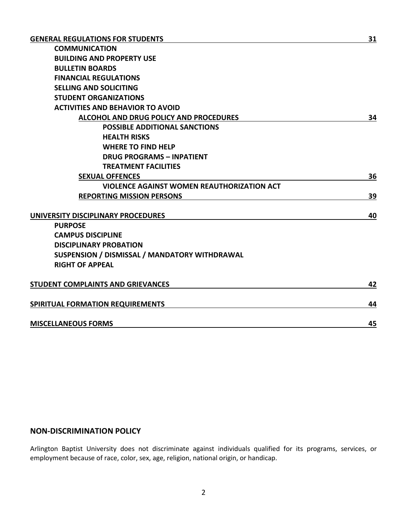| <b>COMMUNICATION</b>                              |    |
|---------------------------------------------------|----|
| <b>BUILDING AND PROPERTY USE</b>                  |    |
| <b>BULLETIN BOARDS</b>                            |    |
| <b>FINANCIAL REGULATIONS</b>                      |    |
| <b>SELLING AND SOLICITING</b>                     |    |
| <b>STUDENT ORGANIZATIONS</b>                      |    |
| <b>ACTIVITIES AND BEHAVIOR TO AVOID</b>           |    |
| ALCOHOL AND DRUG POLICY AND PROCEDURES            | 34 |
| <b>POSSIBLE ADDITIONAL SANCTIONS</b>              |    |
| <b>HEALTH RISKS</b>                               |    |
| <b>WHERE TO FIND HELP</b>                         |    |
| <b>DRUG PROGRAMS - INPATIENT</b>                  |    |
| <b>TREATMENT FACILITIES</b>                       |    |
| <b>SEXUAL OFFENCES</b>                            | 36 |
| <b>VIOLENCE AGAINST WOMEN REAUTHORIZATION ACT</b> |    |
| <b>REPORTING MISSION PERSONS</b>                  | 39 |
|                                                   |    |
| UNIVERSITY DISCIPLINARY PROCEDURES                | 40 |
| <b>PURPOSE</b>                                    |    |
| <b>CAMPUS DISCIPLINE</b>                          |    |
| <b>DISCIPLINARY PROBATION</b>                     |    |
| SUSPENSION / DISMISSAL / MANDATORY WITHDRAWAL     |    |
| <b>RIGHT OF APPEAL</b>                            |    |
| STUDENT COMPLAINTS AND GRIEVANCES                 | 42 |
|                                                   |    |
| SPIRITUAL FORMATION REQUIREMENTS                  | 44 |
| <b>MISCELLANEOUS FORMS</b>                        | 45 |
|                                                   |    |

## **NON-DISCRIMINATION POLICY**

Arlington Baptist University does not discriminate against individuals qualified for its programs, services, or employment because of race, color, sex, age, religion, national origin, or handicap.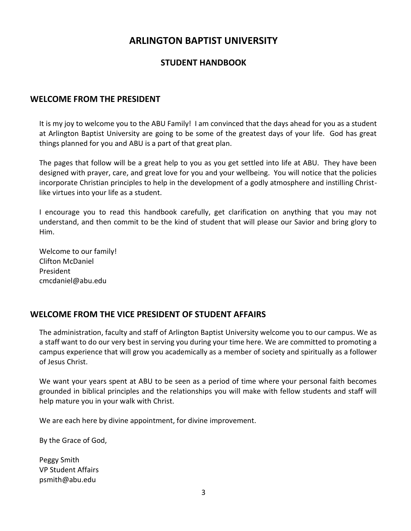## **ARLINGTON BAPTIST UNIVERSITY**

## **STUDENT HANDBOOK**

## **WELCOME FROM THE PRESIDENT**

It is my joy to welcome you to the ABU Family! I am convinced that the days ahead for you as a student at Arlington Baptist University are going to be some of the greatest days of your life. God has great things planned for you and ABU is a part of that great plan.

The pages that follow will be a great help to you as you get settled into life at ABU. They have been designed with prayer, care, and great love for you and your wellbeing. You will notice that the policies incorporate Christian principles to help in the development of a godly atmosphere and instilling Christlike virtues into your life as a student.

I encourage you to read this handbook carefully, get clarification on anything that you may not understand, and then commit to be the kind of student that will please our Savior and bring glory to Him.

Welcome to our family! Clifton McDaniel President cmcdaniel@abu.edu

## **WELCOME FROM THE VICE PRESIDENT OF STUDENT AFFAIRS**

The administration, faculty and staff of Arlington Baptist University welcome you to our campus. We as a staff want to do our very best in serving you during your time here. We are committed to promoting a campus experience that will grow you academically as a member of society and spiritually as a follower of Jesus Christ.

We want your years spent at ABU to be seen as a period of time where your personal faith becomes grounded in biblical principles and the relationships you will make with fellow students and staff will help mature you in your walk with Christ.

We are each here by divine appointment, for divine improvement.

By the Grace of God,

Peggy Smith VP Student Affairs psmith@abu.edu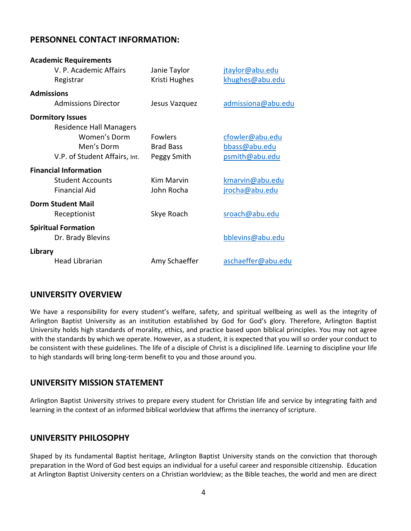## **PERSONNEL CONTACT INFORMATION:**

| <b>Academic Requirements</b>   |                  |                    |
|--------------------------------|------------------|--------------------|
| V. P. Academic Affairs         | Janie Taylor     | jtaylor@abu.edu    |
| Registrar                      | Kristi Hughes    | khughes@abu.edu    |
| <b>Admissions</b>              |                  |                    |
| <b>Admissions Director</b>     | Jesus Vazquez    | admissiona@abu.edu |
| <b>Dormitory Issues</b>        |                  |                    |
| <b>Residence Hall Managers</b> |                  |                    |
| Women's Dorm                   | <b>Fowlers</b>   | cfowler@abu.edu    |
| Men's Dorm                     | <b>Brad Bass</b> | bbass@abu.edu      |
| V.P. of Student Affairs, Int.  | Peggy Smith      | psmith@abu.edu     |
| <b>Financial Information</b>   |                  |                    |
| <b>Student Accounts</b>        | Kim Marvin       | kmarvin@abu.edu    |
| <b>Financial Aid</b>           | John Rocha       | jrocha@abu.edu     |
| <b>Dorm Student Mail</b>       |                  |                    |
| Receptionist                   | Skye Roach       | sroach@abu.edu     |
| <b>Spiritual Formation</b>     |                  |                    |
| Dr. Brady Blevins              |                  | bblevins@abu.edu   |
| Library                        |                  |                    |
| <b>Head Librarian</b>          | Amy Schaeffer    | aschaeffer@abu.edu |

## **UNIVERSITY OVERVIEW**

We have a responsibility for every student's welfare, safety, and spiritual wellbeing as well as the integrity of Arlington Baptist University as an institution established by God for God's glory. Therefore, Arlington Baptist University holds high standards of morality, ethics, and practice based upon biblical principles. You may not agree with the standards by which we operate. However, as a student, it is expected that you will so order your conduct to be consistent with these guidelines. The life of a disciple of Christ is a disciplined life. Learning to discipline your life to high standards will bring long-term benefit to you and those around you.

## **UNIVERSITY MISSION STATEMENT**

Arlington Baptist University strives to prepare every student for Christian life and service by integrating faith and learning in the context of an informed biblical worldview that affirms the inerrancy of scripture.

## **UNIVERSITY PHILOSOPHY**

Shaped by its fundamental Baptist heritage, Arlington Baptist University stands on the conviction that thorough preparation in the Word of God best equips an individual for a useful career and responsible citizenship. Education at Arlington Baptist University centers on a Christian worldview; as the Bible teaches, the world and men are direct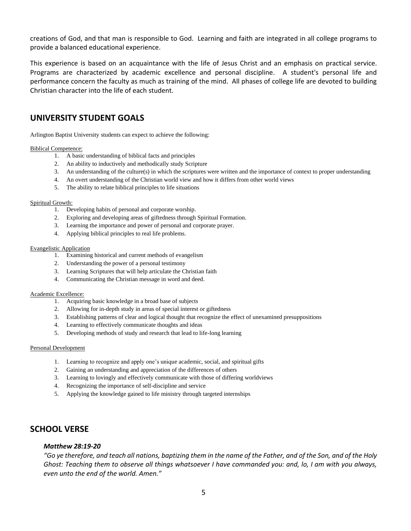creations of God, and that man is responsible to God. Learning and faith are integrated in all college programs to provide a balanced educational experience.

This experience is based on an acquaintance with the life of Jesus Christ and an emphasis on practical service. Programs are characterized by academic excellence and personal discipline. A student's personal life and performance concern the faculty as much as training of the mind. All phases of college life are devoted to building Christian character into the life of each student.

## **UNIVERSITY STUDENT GOALS**

Arlington Baptist University students can expect to achieve the following:

#### Biblical Competence:

- 1. A basic understanding of biblical facts and principles
- 2. An ability to inductively and methodically study Scripture
- 3. An understanding of the culture(s) in which the scriptures were written and the importance of context to proper understanding
- 4. An overt understanding of the Christian world view and how it differs from other world views
- 5. The ability to relate biblical principles to life situations

#### Spiritual Growth:

- 1. Developing habits of personal and corporate worship.
- 2. Exploring and developing areas of giftedness through Spiritual Formation.
- 3. Learning the importance and power of personal and corporate prayer.
- 4. Applying biblical principles to real life problems.

#### Evangelistic Application

- 1. Examining historical and current methods of evangelism
- 2. Understanding the power of a personal testimony
- 3. Learning Scriptures that will help articulate the Christian faith
- 4. Communicating the Christian message in word and deed.

#### Academic Excellence:

- 1. Acquiring basic knowledge in a broad base of subjects
- 2. Allowing for in-depth study in areas of special interest or giftedness
- 3. Establishing patterns of clear and logical thought that recognize the effect of unexamined presuppositions
- 4. Learning to effectively communicate thoughts and ideas
- 5. Developing methods of study and research that lead to life-long learning

#### Personal Development

- 1. Learning to recognize and apply one's unique academic, social, and spiritual gifts
- 2. Gaining an understanding and appreciation of the differences of others
- 3. Learning to lovingly and effectively communicate with those of differing worldviews
- 4. Recognizing the importance of self-discipline and service
- 5. Applying the knowledge gained to life ministry through targeted internships

## **SCHOOL VERSE**

#### *Matthew 28:19-20*

*"Go ye therefore, and teach all nations, baptizing them in the name of the Father, and of the Son, and of the Holy Ghost: Teaching them to observe all things whatsoever I have commanded you: and, lo, I am with you always, even unto the end of the world. Amen."*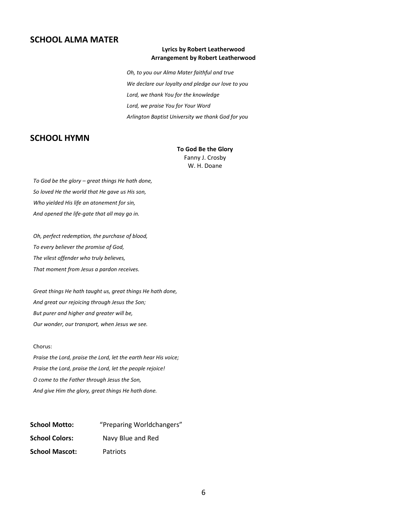## **SCHOOL ALMA MATER**

#### **Lyrics by Robert Leatherwood Arrangement by Robert Leatherwood**

*Oh, to you our Alma Mater faithful and true We declare our loyalty and pledge our love to you Lord, we thank You for the knowledge Lord, we praise You for Your Word Arlington Baptist University we thank God for you*

## **SCHOOL HYMN**

#### **To God Be the Glory**

Fanny J. Crosby W. H. Doane

*To God be the glory – great things He hath done, So loved He the world that He gave us His son, Who yielded His life an atonement for sin, And opened the life-gate that all may go in.*

*Oh, perfect redemption, the purchase of blood, To every believer the promise of God, The vilest offender who truly believes, That moment from Jesus a pardon receives.*

*Great things He hath taught us, great things He hath done, And great our rejoicing through Jesus the Son; But purer and higher and greater will be, Our wonder, our transport, when Jesus we see.*

#### Chorus:

*Praise the Lord, praise the Lord, let the earth hear His voice; Praise the Lord, praise the Lord, let the people rejoice! O come to the Father through Jesus the Son, And give Him the glory, great things He hath done.*

| <b>School Motto:</b>  | "Preparing Worldchangers" |
|-----------------------|---------------------------|
| <b>School Colors:</b> | Navy Blue and Red         |
| <b>School Mascot:</b> | Patriots                  |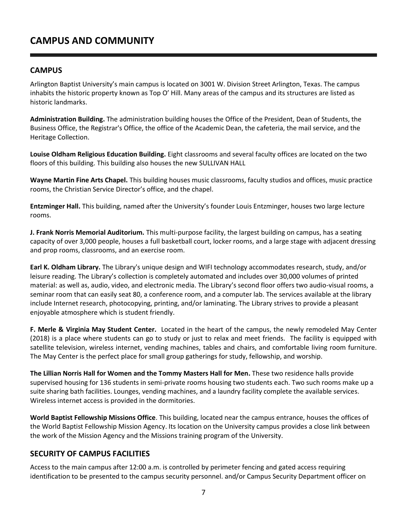## **CAMPUS AND COMMUNITY**

## **CAMPUS**

Arlington Baptist University's main campus is located on 3001 W. Division Street Arlington, Texas. The campus inhabits the historic property known as Top O' Hill. Many areas of the campus and its structures are listed as historic landmarks.

**Administration Building.** The administration building houses the Office of the President, Dean of Students, the Business Office, the Registrar's Office, the office of the Academic Dean, the cafeteria, the mail service, and the Heritage Collection.

**Louise Oldham Religious Education Building.** Eight classrooms and several faculty offices are located on the two floors of this building. This building also houses the new SULLIVAN HALL

**Wayne Martin Fine Arts Chapel.** This building houses music classrooms, faculty studios and offices, music practice rooms, the Christian Service Director's office, and the chapel.

**Entzminger Hall.** This building, named after the University's founder Louis Entzminger, houses two large lecture rooms.

**J. Frank Norris Memorial Auditorium.** This multi-purpose facility, the largest building on campus, has a seating capacity of over 3,000 people, houses a full basketball court, locker rooms, and a large stage with adjacent dressing and prop rooms, classrooms, and an exercise room.

**Earl K. Oldham Library.** The Library's unique design and WIFI technology accommodates research, study, and/or leisure reading. The Library's collection is completely automated and includes over 30,000 volumes of printed material: as well as, audio, video, and electronic media. The Library's second floor offers two audio-visual rooms, a seminar room that can easily seat 80, a conference room, and a computer lab. The services available at the library include Internet research, photocopying, printing, and/or laminating. The Library strives to provide a pleasant enjoyable atmosphere which is student friendly.

**F. Merle & Virginia May Student Center.** Located in the heart of the campus, the newly remodeled May Center (2018) is a place where students can go to study or just to relax and meet friends. The facility is equipped with satellite television, wireless internet, vending machines, tables and chairs, and comfortable living room furniture. The May Center is the perfect place for small group gatherings for study, fellowship, and worship.

**The Lillian Norris Hall for Women and the Tommy Masters Hall for Men.** These two residence halls provide supervised housing for 136 students in semi-private rooms housing two students each. Two such rooms make up a suite sharing bath facilities. Lounges, vending machines, and a laundry facility complete the available services. Wireless internet access is provided in the dormitories.

**World Baptist Fellowship Missions Office**. This building, located near the campus entrance, houses the offices of the World Baptist Fellowship Mission Agency. Its location on the University campus provides a close link between the work of the Mission Agency and the Missions training program of the University.

## **SECURITY OF CAMPUS FACILITIES**

Access to the main campus after 12:00 a.m. is controlled by perimeter fencing and gated access requiring identification to be presented to the campus security personnel. and/or Campus Security Department officer on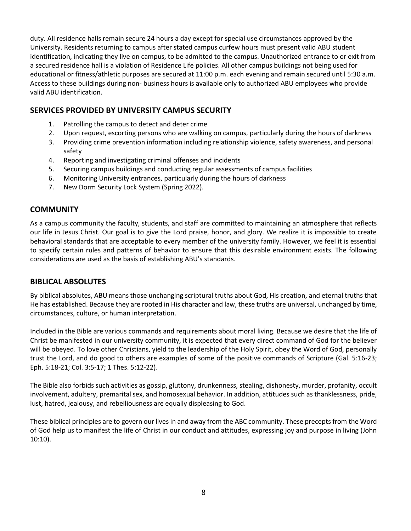duty. All residence halls remain secure 24 hours a day except for special use circumstances approved by the University. Residents returning to campus after stated campus curfew hours must present valid ABU student identification, indicating they live on campus, to be admitted to the campus. Unauthorized entrance to or exit from a secured residence hall is a violation of Residence Life policies. All other campus buildings not being used for educational or fitness/athletic purposes are secured at 11:00 p.m. each evening and remain secured until 5:30 a.m. Access to these buildings during non- business hours is available only to authorized ABU employees who provide valid ABU identification.

## **SERVICES PROVIDED BY UNIVERSITY CAMPUS SECURITY**

- 1. Patrolling the campus to detect and deter crime
- 2. Upon request, escorting persons who are walking on campus, particularly during the hours of darkness
- 3. Providing crime prevention information including relationship violence, safety awareness, and personal safety
- 4. Reporting and investigating criminal offenses and incidents
- 5. Securing campus buildings and conducting regular assessments of campus facilities
- 6. Monitoring University entrances, particularly during the hours of darkness
- 7. New Dorm Security Lock System (Spring 2022).

## **COMMUNITY**

As a campus community the faculty, students, and staff are committed to maintaining an atmosphere that reflects our life in Jesus Christ. Our goal is to give the Lord praise, honor, and glory. We realize it is impossible to create behavioral standards that are acceptable to every member of the university family. However, we feel it is essential to specify certain rules and patterns of behavior to ensure that this desirable environment exists. The following considerations are used as the basis of establishing ABU's standards.

## **BIBLICAL ABSOLUTES**

By biblical absolutes, ABU means those unchanging scriptural truths about God, His creation, and eternal truths that He has established. Because they are rooted in His character and law, these truths are universal, unchanged by time, circumstances, culture, or human interpretation.

Included in the Bible are various commands and requirements about moral living. Because we desire that the life of Christ be manifested in our university community, it is expected that every direct command of God for the believer will be obeyed. To love other Christians, yield to the leadership of the Holy Spirit, obey the Word of God, personally trust the Lord, and do good to others are examples of some of the positive commands of Scripture (Gal. 5:16-23; Eph. 5:18-21; Col. 3:5-17; 1 Thes. 5:12-22).

The Bible also forbids such activities as gossip, gluttony, drunkenness, stealing, dishonesty, murder, profanity, occult involvement, adultery, premarital sex, and homosexual behavior. In addition, attitudes such as thanklessness, pride, lust, hatred, jealousy, and rebelliousness are equally displeasing to God.

These biblical principles are to govern our lives in and away from the ABC community. These precepts from the Word of God help us to manifest the life of Christ in our conduct and attitudes, expressing joy and purpose in living (John 10:10).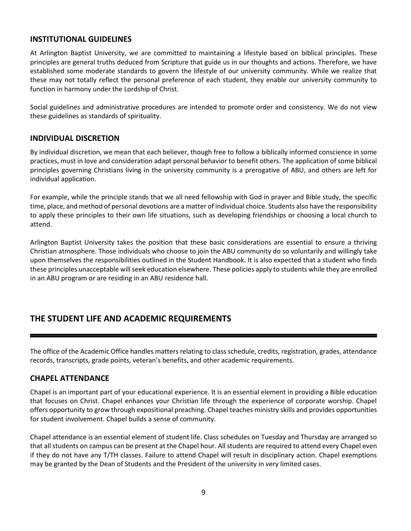## **INSTITUTIONAL GUIDELINES**

At Arlington Baptist University, we are committed to maintaining a lifestyle based on biblical principles. These principles are general truths deduced from Scripture that guide us in our thoughts and actions. Therefore, we have established some moderate standards to govern the lifestyle of our university community. While we realize that these may not totally reflect the personal preference of each student, they enable our university community to function in harmony under the Lordship of Christ.

Social guidelines and administrative procedures are intended to promote order and consistency. We do not view these guidelines as standards of spirituality.

## **INDIVIDUAL DISCRETION**

By individual discretion, we mean that each believer, though free to follow a biblically informed conscience in some practices, must in love and consideration adapt personal behavior to benefit others. The application of some biblical principles governing Christians living in the university community is a prerogative of ABU, and others are left for individual application.

For example, while the principle stands that we all need fellowship with God in prayer and Bible study, the specific time, place, and method of personal devotions are a matter of individual choice. Students also have the responsibility to apply these principles to their own life situations, such as developing friendships or choosing a local church to attend.

Arlington Baptist University takes the position that these basic considerations are essential to ensure a thriving Christian atmosphere. Those individuals who choose to join the ABU community do so voluntarily and willingly take upon themselves the responsibilities outlined in the Student Handbook. It is also expected that a student who finds these principles unacceptable will seek education elsewhere. These policies apply to students while they are enrolled in an ABU program or are residing in an ABU residence hall.

## **THE STUDENT LIFE AND ACADEMIC REQUIREMENTS**

The office of the Academic Office handles matters relating to class schedule, credits, registration, grades, attendance records, transcripts, grade points, veteran's benefits, and other academic requirements.

## **CHAPEL ATTENDANCE**

Chapel is an important part of your educational experience. It is an essential element in providing a Bible education that focuses on Christ. Chapel enhances your Christian life through the experience of corporate worship. Chapel offers opportunity to grow through expositional preaching. Chapel teaches ministry skills and provides opportunities for student involvement. Chapel builds a sense of community.

Chapel attendance is an essential element of student life. Class schedules on Tuesday and Thursday are arranged so that all students on campus can be present at the Chapel hour. All students are required to attend every Chapel even if they do not have any T/TH classes. Failure to attend Chapel will result in disciplinary action. Chapel exemptions may be granted by the Dean of Students and the President of the university in very limited cases.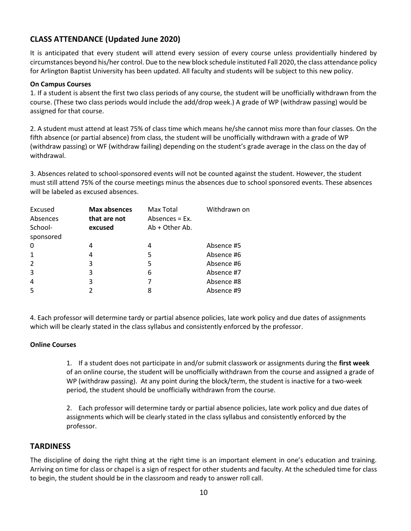## **CLASS ATTENDANCE (Updated June 2020)**

It is anticipated that every student will attend every session of every course unless providentially hindered by circumstances beyond his/her control. Due to the new block schedule instituted Fall 2020, the class attendance policy for Arlington Baptist University has been updated. All faculty and students will be subject to this new policy.

#### **On Campus Courses**

1. If a student is absent the first two class periods of any course, the student will be unofficially withdrawn from the course. (These two class periods would include the add/drop week.) A grade of WP (withdraw passing) would be assigned for that course.

2. A student must attend at least 75% of class time which means he/she cannot miss more than four classes. On the fifth absence (or partial absence) from class, the student will be unofficially withdrawn with a grade of WP (withdraw passing) or WF (withdraw failing) depending on the student's grade average in the class on the day of withdrawal.

3. Absences related to school-sponsored events will not be counted against the student. However, the student must still attend 75% of the course meetings minus the absences due to school sponsored events. These absences will be labeled as excused absences.

| Excused        | Max absences | Max Total         | Withdrawn on |
|----------------|--------------|-------------------|--------------|
| Absences       | that are not | Absences $= Ex$ . |              |
| School-        | excused      | $Ab + Other Ab.$  |              |
| sponsored      |              |                   |              |
| 0              | 4            | 4                 | Absence #5   |
| $\mathbf 1$    | 4            | 5                 | Absence #6   |
| 2              | 3            | 5                 | Absence #6   |
| 3              | 3            | 6                 | Absence #7   |
| $\overline{4}$ | 3            | 7                 | Absence #8   |
| 5              |              | 8                 | Absence #9   |

4. Each professor will determine tardy or partial absence policies, late work policy and due dates of assignments which will be clearly stated in the class syllabus and consistently enforced by the professor.

## **Online Courses**

1. If a student does not participate in and/or submit classwork or assignments during the **first week** of an online course, the student will be unofficially withdrawn from the course and assigned a grade of WP (withdraw passing). At any point during the block/term, the student is inactive for a two-week period, the student should be unofficially withdrawn from the course.

2. Each professor will determine tardy or partial absence policies, late work policy and due dates of assignments which will be clearly stated in the class syllabus and consistently enforced by the professor.

## **TARDINESS**

The discipline of doing the right thing at the right time is an important element in one's education and training. Arriving on time for class or chapel is a sign of respect for other students and faculty. At the scheduled time for class to begin, the student should be in the classroom and ready to answer roll call.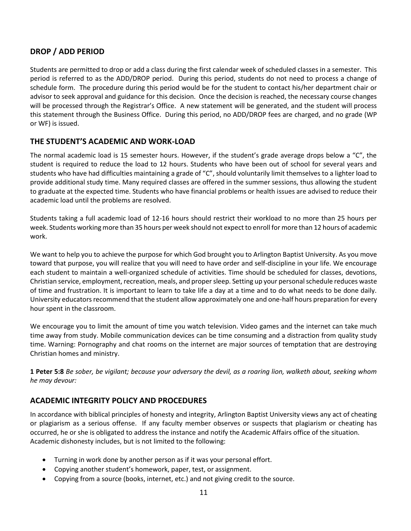## **DROP / ADD PERIOD**

Students are permitted to drop or add a class during the first calendar week of scheduled classes in a semester. This period is referred to as the ADD/DROP period. During this period, students do not need to process a change of schedule form. The procedure during this period would be for the student to contact his/her department chair or advisor to seek approval and guidance for this decision. Once the decision is reached, the necessary course changes will be processed through the Registrar's Office. A new statement will be generated, and the student will process this statement through the Business Office. During this period, no ADD/DROP fees are charged, and no grade (WP or WF) is issued.

## **THE STUDENT'S ACADEMIC AND WORK-LOAD**

The normal academic load is 15 semester hours. However, if the student's grade average drops below a "C", the student is required to reduce the load to 12 hours. Students who have been out of school for several years and students who have had difficulties maintaining a grade of "C", should voluntarily limit themselves to a lighter load to provide additional study time. Many required classes are offered in the summer sessions, thus allowing the student to graduate at the expected time. Students who have financial problems or health issues are advised to reduce their academic load until the problems are resolved.

Students taking a full academic load of 12-16 hours should restrict their workload to no more than 25 hours per week. Students working more than 35 hours per week should not expect to enroll for more than 12 hours of academic work.

We want to help you to achieve the purpose for which God brought you to Arlington Baptist University. As you move toward that purpose, you will realize that you will need to have order and self-discipline in your life. We encourage each student to maintain a well-organized schedule of activities. Time should be scheduled for classes, devotions, Christian service, employment, recreation, meals, and proper sleep. Setting up your personal schedule reduces waste of time and frustration. It is important to learn to take life a day at a time and to do what needs to be done daily. University educators recommend that the student allow approximately one and one-half hours preparation for every hour spent in the classroom.

We encourage you to limit the amount of time you watch television. Video games and the internet can take much time away from study. Mobile communication devices can be time consuming and a distraction from quality study time. Warning: Pornography and chat rooms on the internet are major sources of temptation that are destroying Christian homes and ministry.

**1 Peter 5:8** *Be sober, be vigilant; because your adversary the devil, as a roaring lion, walketh about, seeking whom he may devour:* 

## **ACADEMIC INTEGRITY POLICY AND PROCEDURES**

In accordance with biblical principles of honesty and integrity, Arlington Baptist University views any act of cheating or plagiarism as a serious offense. If any faculty member observes or suspects that plagiarism or cheating has occurred, he or she is obligated to address the instance and notify the Academic Affairs office of the situation. Academic dishonesty includes, but is not limited to the following:

- Turning in work done by another person as if it was your personal effort.
- Copying another student's homework, paper, test, or assignment.
- Copying from a source (books, internet, etc.) and not giving credit to the source.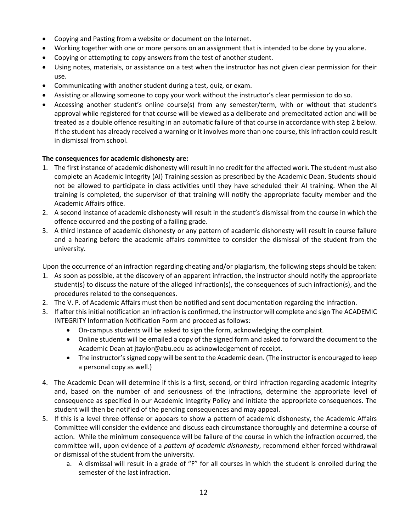- Copying and Pasting from a website or document on the Internet.
- Working together with one or more persons on an assignment that is intended to be done by you alone.
- Copying or attempting to copy answers from the test of another student.
- Using notes, materials, or assistance on a test when the instructor has not given clear permission for their use.
- Communicating with another student during a test, quiz, or exam.
- Assisting or allowing someone to copy your work without the instructor's clear permission to do so.
- Accessing another student's online course(s) from any semester/term, with or without that student's approval while registered for that course will be viewed as a deliberate and premeditated action and will be treated as a double offence resulting in an automatic failure of that course in accordance with step 2 below. If the student has already received a warning or it involves more than one course, this infraction could result in dismissal from school.

## **The consequences for academic dishonesty are:**

- 1. The first instance of academic dishonesty will result in no credit for the affected work. The student must also complete an Academic Integrity (AI) Training session as prescribed by the Academic Dean. Students should not be allowed to participate in class activities until they have scheduled their AI training. When the AI training is completed, the supervisor of that training will notify the appropriate faculty member and the Academic Affairs office.
- 2. A second instance of academic dishonesty will result in the student's dismissal from the course in which the offence occurred and the posting of a failing grade.
- 3. A third instance of academic dishonesty or any pattern of academic dishonesty will result in course failure and a hearing before the academic affairs committee to consider the dismissal of the student from the university.

Upon the occurrence of an infraction regarding cheating and/or plagiarism, the following steps should be taken:

- 1. As soon as possible, at the discovery of an apparent infraction, the instructor should notify the appropriate student(s) to discuss the nature of the alleged infraction(s), the consequences of such infraction(s), and the procedures related to the consequences.
- 2. The V. P. of Academic Affairs must then be notified and sent documentation regarding the infraction.
- 3. If after this initial notification an infraction is confirmed, the instructor will complete and sign The ACADEMIC INTEGRITY Information Notification Form and proceed as follows:
	- On-campus students will be asked to sign the form, acknowledging the complaint.
	- Online students will be emailed a copy of the signed form and asked to forward the document to the Academic Dean at jtaylor@abu.edu as acknowledgement of receipt.
	- The instructor's signed copy will be sent to the Academic dean. (The instructor is encouraged to keep a personal copy as well.)
- 4. The Academic Dean will determine if this is a first, second, or third infraction regarding academic integrity and, based on the number of and seriousness of the infractions, determine the appropriate level of consequence as specified in our Academic Integrity Policy and initiate the appropriate consequences. The student will then be notified of the pending consequences and may appeal.
- 5. If this is a level three offense or appears to show a pattern of academic dishonesty, the Academic Affairs Committee will consider the evidence and discuss each circumstance thoroughly and determine a course of action. While the minimum consequence will be failure of the course in which the infraction occurred, the committee will, upon evidence of a *pattern of academic dishonesty*, recommend either forced withdrawal or dismissal of the student from the university.
	- a. A dismissal will result in a grade of "F" for all courses in which the student is enrolled during the semester of the last infraction.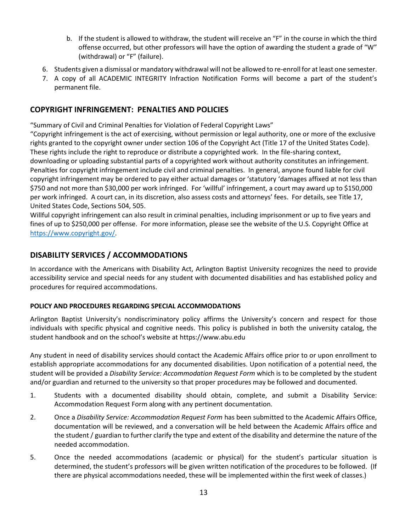- b. If the student is allowed to withdraw, the student will receive an "F" in the course in which the third offense occurred, but other professors will have the option of awarding the student a grade of "W" (withdrawal) or "F" (failure).
- 6. Students given a dismissal or mandatory withdrawal will not be allowed to re-enroll for at least one semester.
- 7. A copy of all ACADEMIC INTEGRITY Infraction Notification Forms will become a part of the student's permanent file.

## **COPYRIGHT INFRINGEMENT: PENALTIES AND POLICIES**

"Summary of Civil and Criminal Penalties for Violation of Federal Copyright Laws"

"Copyright infringement is the act of exercising, without permission or legal authority, one or more of the exclusive rights granted to the copyright owner under section 106 of the Copyright Act (Title 17 of the United States Code). These rights include the right to reproduce or distribute a copyrighted work. In the file-sharing context, downloading or uploading substantial parts of a copyrighted work without authority constitutes an infringement. Penalties for copyright infringement include civil and criminal penalties. In general, anyone found liable for civil copyright infringement may be ordered to pay either actual damages or 'statutory 'damages affixed at not less than \$750 and not more than \$30,000 per work infringed. For 'willful' infringement, a court may award up to \$150,000 per work infringed. A court can, in its discretion, also assess costs and attorneys' fees. For details, see Title 17, United States Code, Sections 504, 505.

Willful copyright infringement can also result in criminal penalties, including imprisonment or up to five years and fines of up to \$250,000 per offense. For more information, please see the website of the U.S. Copyright Office at [https://www.copyright.gov/.](https://www.copyright.gov/)

## **DISABILITY SERVICES / ACCOMMODATIONS**

In accordance with the Americans with Disability Act, Arlington Baptist University recognizes the need to provide accessibility service and special needs for any student with documented disabilities and has established policy and procedures for required accommodations.

#### **POLICY AND PROCEDURES REGARDING SPECIAL ACCOMMODATIONS**

Arlington Baptist University's nondiscriminatory policy affirms the University's concern and respect for those individuals with specific physical and cognitive needs. This policy is published in both the university catalog, the student handbook and on the school's website at https://www.abu.edu

Any student in need of disability services should contact the Academic Affairs office prior to or upon enrollment to establish appropriate accommodations for any documented disabilities. Upon notification of a potential need, the student will be provided a *Disability Service: Accommodation Request Form* which is to be completed by the student and/or guardian and returned to the university so that proper procedures may be followed and documented.

- 1. Students with a documented disability should obtain, complete, and submit a Disability Service: Accommodation Request Form along with any pertinent documentation.
- 2. Once a *Disability Service: Accommodation Request Form* has been submitted to the Academic Affairs Office, documentation will be reviewed, and a conversation will be held between the Academic Affairs office and the student / guardian to further clarify the type and extent of the disability and determine the nature of the needed accommodation.
- 5. Once the needed accommodations (academic or physical) for the student's particular situation is determined, the student's professors will be given written notification of the procedures to be followed. (If there are physical accommodations needed, these will be implemented within the first week of classes.)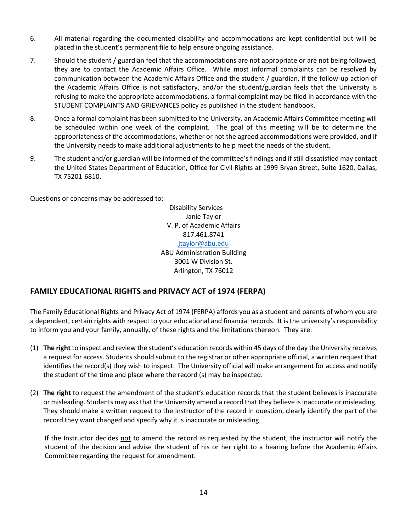- 6. All material regarding the documented disability and accommodations are kept confidential but will be placed in the student's permanent file to help ensure ongoing assistance.
- 7. Should the student / guardian feel that the accommodations are not appropriate or are not being followed, they are to contact the Academic Affairs Office. While most informal complaints can be resolved by communication between the Academic Affairs Office and the student / guardian, if the follow-up action of the Academic Affairs Office is not satisfactory, and/or the student/guardian feels that the University is refusing to make the appropriate accommodations, a formal complaint may be filed in accordance with the STUDENT COMPLAINTS AND GRIEVANCES policy as published in the student handbook.
- 8. Once a formal complaint has been submitted to the University, an Academic Affairs Committee meeting will be scheduled within one week of the complaint. The goal of this meeting will be to determine the appropriateness of the accommodations, whether or not the agreed accommodations were provided, and if the University needs to make additional adjustments to help meet the needs of the student.
- 9. The student and/or guardian will be informed of the committee's findings and if still dissatisfied may contact the United States Department of Education, Office for Civil Rights at 1999 Bryan Street, Suite 1620, Dallas, TX 75201-6810.

Questions or concerns may be addressed to:

Disability Services Janie Taylor V. P. of Academic Affairs 817.461.8741 [jtaylor@abu.edu](mailto:jtaylor@abu.edu) ABU Administration Building 3001 W Division St. Arlington, TX 76012

## **FAMILY EDUCATIONAL RIGHTS and PRIVACY ACT of 1974 (FERPA)**

The Family Educational Rights and Privacy Act of 1974 (FERPA) affords you as a student and parents of whom you are a dependent, certain rights with respect to your educational and financial records. It is the university's responsibility to inform you and your family, annually, of these rights and the limitations thereon. They are:

- (1) **The right** to inspect and review the student's education records within 45 days of the day the University receives a request for access. Students should submit to the registrar or other appropriate official, a written request that identifies the record(s) they wish to inspect. The University official will make arrangement for access and notify the student of the time and place where the record (s) may be inspected.
- (2) **The right** to request the amendment of the student's education records that the student believes is inaccurate or misleading. Students may ask that the University amend a record that they believe is inaccurate or misleading. They should make a written request to the instructor of the record in question, clearly identify the part of the record they want changed and specify why it is inaccurate or misleading.

If the Instructor decides not to amend the record as requested by the student, the instructor will notify the student of the decision and advise the student of his or her right to a hearing before the Academic Affairs Committee regarding the request for amendment.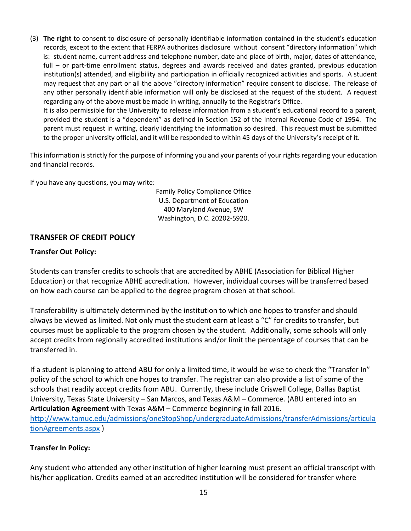(3) **The right** to consent to disclosure of personally identifiable information contained in the student's education records, except to the extent that FERPA authorizes disclosure without consent "directory information" which is: student name, current address and telephone number, date and place of birth, major, dates of attendance, full – or part-time enrollment status, degrees and awards received and dates granted, previous education institution(s) attended, and eligibility and participation in officially recognized activities and sports. A student may request that any part or all the above "directory information" require consent to disclose. The release of any other personally identifiable information will only be disclosed at the request of the student. A request regarding any of the above must be made in writing, annually to the Registrar's Office. It is also permissible for the University to release information from a student's educational record to a parent, provided the student is a "dependent" as defined in Section 152 of the Internal Revenue Code of 1954. The parent must request in writing, clearly identifying the information so desired. This request must be submitted

to the proper university official, and it will be responded to within 45 days of the University's receipt of it.

This information is strictly for the purpose of informing you and your parents of your rights regarding your education and financial records.

If you have any questions, you may write:

Family Policy Compliance Office U.S. Department of Education 400 Maryland Avenue, SW Washington, D.C. 20202-5920.

### **TRANSFER OF CREDIT POLICY**

#### **Transfer Out Policy:**

Students can transfer credits to schools that are accredited by ABHE (Association for Biblical Higher Education) or that recognize ABHE accreditation. However, individual courses will be transferred based on how each course can be applied to the degree program chosen at that school.

Transferability is ultimately determined by the institution to which one hopes to transfer and should always be viewed as limited. Not only must the student earn at least a "C" for credits to transfer, but courses must be applicable to the program chosen by the student. Additionally, some schools will only accept credits from regionally accredited institutions and/or limit the percentage of courses that can be transferred in.

If a student is planning to attend ABU for only a limited time, it would be wise to check the "Transfer In" policy of the school to which one hopes to transfer. The registrar can also provide a list of some of the schools that readily accept credits from ABU. Currently, these include Criswell College, Dallas Baptist University, Texas State University – San Marcos, and Texas A&M – Commerce. (ABU entered into an **Articulation Agreement** with Texas A&M – Commerce beginning in fall 2016. [http://www.tamuc.edu/admissions/oneStopShop/undergraduateAdmissions/transferAdmissions/articula](http://www.tamuc.edu/admissions/oneStopShop/undergraduateAdmissions/transferAdmissions/articulationAgreements.aspx) [tionAgreements.aspx](http://www.tamuc.edu/admissions/oneStopShop/undergraduateAdmissions/transferAdmissions/articulationAgreements.aspx) )

#### **Transfer In Policy:**

Any student who attended any other institution of higher learning must present an official transcript with his/her application. Credits earned at an accredited institution will be considered for transfer where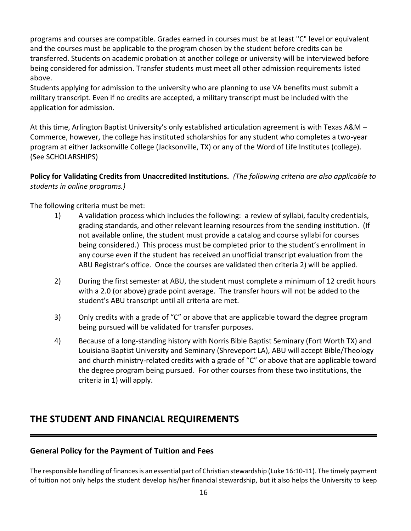programs and courses are compatible. Grades earned in courses must be at least "C" level or equivalent and the courses must be applicable to the program chosen by the student before credits can be transferred. Students on academic probation at another college or university will be interviewed before being considered for admission. Transfer students must meet all other admission requirements listed above.

Students applying for admission to the university who are planning to use VA benefits must submit a military transcript. Even if no credits are accepted, a military transcript must be included with the application for admission.

At this time, Arlington Baptist University's only established articulation agreement is with Texas A&M – Commerce, however, the college has instituted scholarships for any student who completes a two-year program at either Jacksonville College (Jacksonville, TX) or any of the Word of Life Institutes (college). (See SCHOLARSHIPS)

**Policy for Validating Credits from Unaccredited Institutions.** *(The following criteria are also applicable to students in online programs.)* 

The following criteria must be met:

- 1) A validation process which includes the following: a review of syllabi, faculty credentials, grading standards, and other relevant learning resources from the sending institution. (If not available online, the student must provide a catalog and course syllabi for courses being considered.) This process must be completed prior to the student's enrollment in any course even if the student has received an unofficial transcript evaluation from the ABU Registrar's office. Once the courses are validated then criteria 2) will be applied.
- 2) During the first semester at ABU, the student must complete a minimum of 12 credit hours with a 2.0 (or above) grade point average. The transfer hours will not be added to the student's ABU transcript until all criteria are met.
- 3) Only credits with a grade of "C" or above that are applicable toward the degree program being pursued will be validated for transfer purposes.
- 4) Because of a long-standing history with Norris Bible Baptist Seminary (Fort Worth TX) and Louisiana Baptist University and Seminary (Shreveport LA), ABU will accept Bible/Theology and church ministry-related credits with a grade of "C" or above that are applicable toward the degree program being pursued. For other courses from these two institutions, the criteria in 1) will apply.

## **THE STUDENT AND FINANCIAL REQUIREMENTS**

## **General Policy for the Payment of Tuition and Fees**

The responsible handling of finances is an essential part of Christian stewardship (Luke 16:10-11). The timely payment of tuition not only helps the student develop his/her financial stewardship, but it also helps the University to keep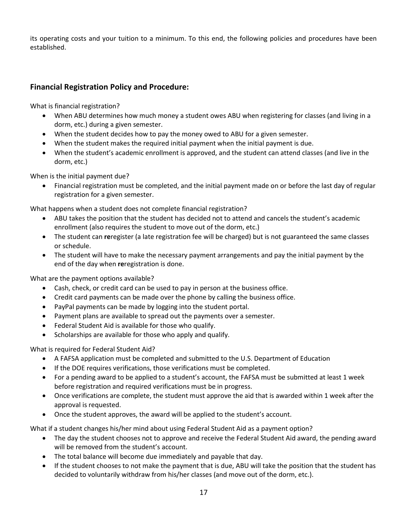its operating costs and your tuition to a minimum. To this end, the following policies and procedures have been established.

## **Financial Registration Policy and Procedure:**

What is financial registration?

- When ABU determines how much money a student owes ABU when registering for classes (and living in a dorm, etc.) during a given semester.
- When the student decides how to pay the money owed to ABU for a given semester.
- When the student makes the required initial payment when the initial payment is due.
- When the student's academic enrollment is approved, and the student can attend classes (and live in the dorm, etc.)

When is the initial payment due?

• Financial registration must be completed, and the initial payment made on or before the last day of regular registration for a given semester.

What happens when a student does not complete financial registration?

- ABU takes the position that the student has decided not to attend and cancels the student's academic enrollment (also requires the student to move out of the dorm, etc.)
- The student can **re**register (a late registration fee will be charged) but is not guaranteed the same classes or schedule.
- The student will have to make the necessary payment arrangements and pay the initial payment by the end of the day when **re**registration is done.

What are the payment options available?

- Cash, check, or credit card can be used to pay in person at the business office.
- Credit card payments can be made over the phone by calling the business office.
- PayPal payments can be made by logging into the student portal.
- Payment plans are available to spread out the payments over a semester.
- Federal Student Aid is available for those who qualify.
- Scholarships are available for those who apply and qualify.

What is required for Federal Student Aid?

- A FAFSA application must be completed and submitted to the U.S. Department of Education
- If the DOE requires verifications, those verifications must be completed.
- For a pending award to be applied to a student's account, the FAFSA must be submitted at least 1 week before registration and required verifications must be in progress.
- Once verifications are complete, the student must approve the aid that is awarded within 1 week after the approval is requested.
- Once the student approves, the award will be applied to the student's account.

What if a student changes his/her mind about using Federal Student Aid as a payment option?

- The day the student chooses not to approve and receive the Federal Student Aid award, the pending award will be removed from the student's account.
- The total balance will become due immediately and payable that day.
- If the student chooses to not make the payment that is due, ABU will take the position that the student has decided to voluntarily withdraw from his/her classes (and move out of the dorm, etc.).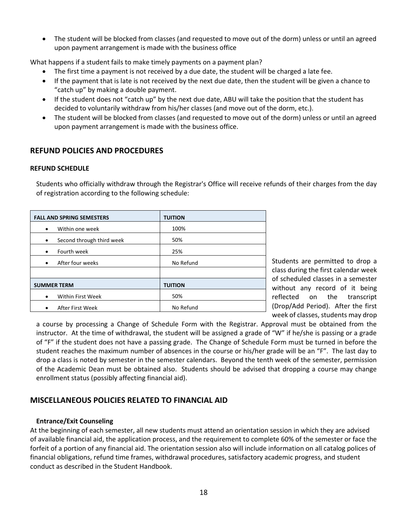• The student will be blocked from classes (and requested to move out of the dorm) unless or until an agreed upon payment arrangement is made with the business office

What happens if a student fails to make timely payments on a payment plan?

- The first time a payment is not received by a due date, the student will be charged a late fee.
- If the payment that is late is not received by the next due date, then the student will be given a chance to "catch up" by making a double payment.
- If the student does not "catch up" by the next due date, ABU will take the position that the student has decided to voluntarily withdraw from his/her classes (and move out of the dorm, etc.).
- The student will be blocked from classes (and requested to move out of the dorm) unless or until an agreed upon payment arrangement is made with the business office.

## **REFUND POLICIES AND PROCEDURES**

#### **REFUND SCHEDULE**

Students who officially withdraw through the Registrar's Office will receive refunds of their charges from the day of registration according to the following schedule:

| <b>FALL AND SPRING SEMESTERS</b>       | <b>TUITION</b> |
|----------------------------------------|----------------|
| Within one week<br>$\bullet$           | 100%           |
| Second through third week<br>$\bullet$ | 50%            |
| Fourth week<br>$\bullet$               | 25%            |
| After four weeks<br>$\bullet$          | No Refund      |
|                                        |                |
| <b>SUMMER TERM</b>                     | <b>TUITION</b> |
| <b>Within First Week</b><br>$\bullet$  | 50%            |
| After First Week                       | No Refund      |

Students are permitted to drop a class during the first calendar week of scheduled classes in a semester without any record of it being reflected on the transcript (Drop/Add Period). After the first week of classes, students may drop

a course by processing a Change of Schedule Form with the Registrar. Approval must be obtained from the instructor. At the time of withdrawal, the student will be assigned a grade of "W" if he/she is passing or a grade of "F" if the student does not have a passing grade. The Change of Schedule Form must be turned in before the student reaches the maximum number of absences in the course or his/her grade will be an "F". The last day to drop a class is noted by semester in the semester calendars. Beyond the tenth week of the semester, permission of the Academic Dean must be obtained also. Students should be advised that dropping a course may change enrollment status (possibly affecting financial aid).

## **MISCELLANEOUS POLICIES RELATED TO FINANCIAL AID**

#### **Entrance/Exit Counseling**

At the beginning of each semester, all new students must attend an orientation session in which they are advised of available financial aid, the application process, and the requirement to complete 60% of the semester or face the forfeit of a portion of any financial aid. The orientation session also will include information on all catalog polices of financial obligations, refund time frames, withdrawal procedures, satisfactory academic progress, and student conduct as described in the Student Handbook.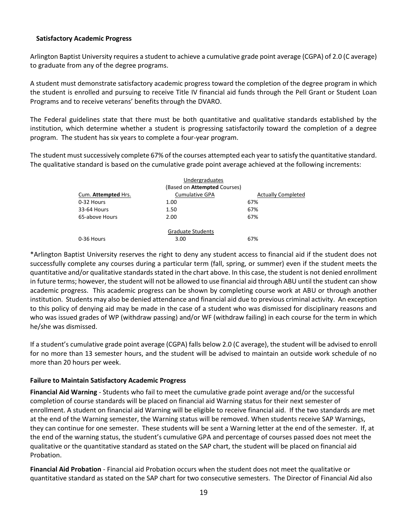#### **Satisfactory Academic Progress**

Arlington Baptist University requires a student to achieve a cumulative grade point average (CGPA) of 2.0 (C average) to graduate from any of the degree programs.

A student must demonstrate satisfactory academic progress toward the completion of the degree program in which the student is enrolled and pursuing to receive Title IV financial aid funds through the Pell Grant or Student Loan Programs and to receive veterans' benefits through the DVARO.

The Federal guidelines state that there must be both quantitative and qualitative standards established by the institution, which determine whether a student is progressing satisfactorily toward the completion of a degree program. The student has six years to complete a four-year program.

The student must successively complete 67% of the courses attempted each year to satisfy the quantitative standard. The qualitative standard is based on the cumulative grade point average achieved at the following increments:

|                     | Undergraduates                      |                           |
|---------------------|-------------------------------------|---------------------------|
|                     | (Based on <b>Attempted</b> Courses) |                           |
| Cum. Attempted Hrs. | <b>Cumulative GPA</b>               | <b>Actually Completed</b> |
| 0-32 Hours          | 1.00                                | 67%                       |
| 33-64 Hours         | 1.50                                | 67%                       |
| 65-above Hours      | 2.00                                | 67%                       |
|                     | <b>Graduate Students</b>            |                           |
| 0-36 Hours          | 3.00                                | 67%                       |

\*Arlington Baptist University reserves the right to deny any student access to financial aid if the student does not successfully complete any courses during a particular term (fall, spring, or summer) even if the student meets the quantitative and/or qualitative standards stated in the chart above. In this case, the student is not denied enrollment in future terms; however, the student will not be allowed to use financial aid through ABU until the student can show academic progress. This academic progress can be shown by completing course work at ABU or through another institution. Students may also be denied attendance and financial aid due to previous criminal activity. An exception to this policy of denying aid may be made in the case of a student who was dismissed for disciplinary reasons and who was issued grades of WP (withdraw passing) and/or WF (withdraw failing) in each course for the term in which he/she was dismissed.

If a student's cumulative grade point average (CGPA) falls below 2.0 (C average), the student will be advised to enroll for no more than 13 semester hours, and the student will be advised to maintain an outside work schedule of no more than 20 hours per week.

#### **Failure to Maintain Satisfactory Academic Progress**

**Financial Aid Warning** - Students who fail to meet the cumulative grade point average and/or the successful completion of course standards will be placed on financial aid Warning status for their next semester of enrollment. A student on financial aid Warning will be eligible to receive financial aid. If the two standards are met at the end of the Warning semester, the Warning status will be removed. When students receive SAP Warnings, they can continue for one semester. These students will be sent a Warning letter at the end of the semester. If, at the end of the warning status, the student's cumulative GPA and percentage of courses passed does not meet the qualitative or the quantitative standard as stated on the SAP chart, the student will be placed on financial aid Probation.

**Financial Aid Probation** - Financial aid Probation occurs when the student does not meet the qualitative or quantitative standard as stated on the SAP chart for two consecutive semesters. The Director of Financial Aid also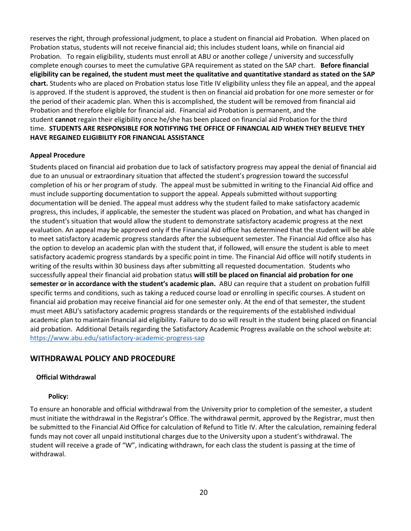reserves the right, through professional judgment, to place a student on financial aid Probation. When placed on Probation status, students will not receive financial aid; this includes student loans, while on financial aid Probation. To regain eligibility, students must enroll at ABU or another college / university and successfully complete enough courses to meet the cumulative GPA requirement as stated on the SAP chart. **Before financial eligibility can be regained, the student must meet the qualitative and quantitative standard as stated on the SAP chart.** Students who are placed on Probation status lose Title IV eligibility unless they file an appeal, and the appeal is approved. If the student is approved, the student is then on financial aid probation for one more semester or for the period of their academic plan. When this is accomplished, the student will be removed from financial aid Probation and therefore eligible for financial aid. Financial aid Probation is permanent, and the student **cannot** regain their eligibility once he/she has been placed on financial aid Probation for the third time. **STUDENTS ARE RESPONSIBLE FOR NOTIFYING THE OFFICE OF FINANCIAL AID WHEN THEY BELIEVE THEY HAVE REGAINED ELIGIBILITY FOR FINANCIAL ASSISTANCE**

#### **Appeal Procedure**

Students placed on financial aid probation due to lack of satisfactory progress may appeal the denial of financial aid due to an unusual or extraordinary situation that affected the student's progression toward the successful completion of his or her program of study. The appeal must be submitted in writing to the Financial Aid office and must include supporting documentation to support the appeal. Appeals submitted without supporting documentation will be denied. The appeal must address why the student failed to make satisfactory academic progress, this includes, if applicable, the semester the student was placed on Probation, and what has changed in the student's situation that would allow the student to demonstrate satisfactory academic progress at the next evaluation. An appeal may be approved only if the Financial Aid office has determined that the student will be able to meet satisfactory academic progress standards after the subsequent semester. The Financial Aid office also has the option to develop an academic plan with the student that, if followed, will ensure the student is able to meet satisfactory academic progress standards by a specific point in time. The Financial Aid office will notify students in writing of the results within 30 business days after submitting all requested documentation. Students who successfully appeal their financial aid probation status **will still be placed on financial aid probation for one semester or in accordance with the student's academic plan.** ABU can require that a student on probation fulfill specific terms and conditions, such as taking a reduced course load or enrolling in specific courses. A student on financial aid probation may receive financial aid for one semester only. At the end of that semester, the student must meet ABU's satisfactory academic progress standards or the requirements of the established individual academic plan to maintain financial aid eligibility. Failure to do so will result in the student being placed on financial aid probation. Additional Details regarding the Satisfactory Academic Progress available on the school website at: <https://www.abu.edu/satisfactory-academic-progress-sap>

## **WITHDRAWAL POLICY AND PROCEDURE**

#### **Official Withdrawal**

#### **Policy:**

To ensure an honorable and official withdrawal from the University prior to completion of the semester, a student must initiate the withdrawal in the Registrar's Office. The withdrawal permit, approved by the Registrar, must then be submitted to the Financial Aid Office for calculation of Refund to Title IV. After the calculation, remaining federal funds may not cover all unpaid institutional charges due to the University upon a student's withdrawal. The student will receive a grade of "W", indicating withdrawn, for each class the student is passing at the time of withdrawal.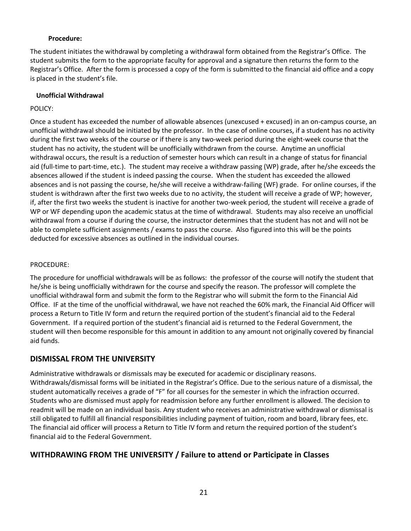#### **Procedure:**

The student initiates the withdrawal by completing a withdrawal form obtained from the Registrar's Office. The student submits the form to the appropriate faculty for approval and a signature then returns the form to the Registrar's Office. After the form is processed a copy of the form is submitted to the financial aid office and a copy is placed in the student's file.

#### **Unofficial Withdrawal**

### POLICY:

Once a student has exceeded the number of allowable absences (unexcused + excused) in an on-campus course, an unofficial withdrawal should be initiated by the professor. In the case of online courses, if a student has no activity during the first two weeks of the course or if there is any two-week period during the eight-week course that the student has no activity, the student will be unofficially withdrawn from the course. Anytime an unofficial withdrawal occurs, the result is a reduction of semester hours which can result in a change of status for financial aid (full-time to part-time, etc.). The student may receive a withdraw passing (WP) grade, after he/she exceeds the absences allowed if the student is indeed passing the course. When the student has exceeded the allowed absences and is not passing the course, he/she will receive a withdraw-failing (WF) grade. For online courses, if the student is withdrawn after the first two weeks due to no activity, the student will receive a grade of WP; however, if, after the first two weeks the student is inactive for another two-week period, the student will receive a grade of WP or WF depending upon the academic status at the time of withdrawal. Students may also receive an unofficial withdrawal from a course if during the course, the instructor determines that the student has not and will not be able to complete sufficient assignments / exams to pass the course. Also figured into this will be the points deducted for excessive absences as outlined in the individual courses.

#### PROCEDURE:

The procedure for unofficial withdrawals will be as follows: the professor of the course will notify the student that he/she is being unofficially withdrawn for the course and specify the reason. The professor will complete the unofficial withdrawal form and submit the form to the Registrar who will submit the form to the Financial Aid Office. IF at the time of the unofficial withdrawal, we have not reached the 60% mark, the Financial Aid Officer will process a Return to Title IV form and return the required portion of the student's financial aid to the Federal Government. If a required portion of the student's financial aid is returned to the Federal Government, the student will then become responsible for this amount in addition to any amount not originally covered by financial aid funds.

## **DISMISSAL FROM THE UNIVERSITY**

Administrative withdrawals or dismissals may be executed for academic or disciplinary reasons. Withdrawals/dismissal forms will be initiated in the Registrar's Office. Due to the serious nature of a dismissal, the student automatically receives a grade of "F" for all courses for the semester in which the infraction occurred. Students who are dismissed must apply for readmission before any further enrollment is allowed. The decision to readmit will be made on an individual basis. Any student who receives an administrative withdrawal or dismissal is still obligated to fulfill all financial responsibilities including payment of tuition, room and board, library fees, etc. The financial aid officer will process a Return to Title IV form and return the required portion of the student's financial aid to the Federal Government.

## **WITHDRAWING FROM THE UNIVERSITY / Failure to attend or Participate in Classes**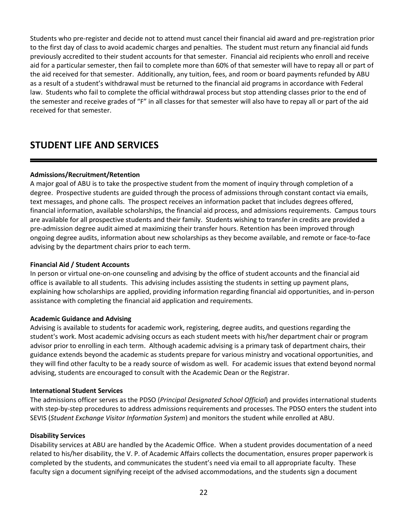Students who pre-register and decide not to attend must cancel their financial aid award and pre-registration prior to the first day of class to avoid academic charges and penalties. The student must return any financial aid funds previously accredited to their student accounts for that semester. Financial aid recipients who enroll and receive aid for a particular semester, then fail to complete more than 60% of that semester will have to repay all or part of the aid received for that semester. Additionally, any tuition, fees, and room or board payments refunded by ABU as a result of a student's withdrawal must be returned to the financial aid programs in accordance with Federal law. Students who fail to complete the official withdrawal process but stop attending classes prior to the end of the semester and receive grades of "F" in all classes for that semester will also have to repay all or part of the aid received for that semester.

## **STUDENT LIFE AND SERVICES**

### **Admissions/Recruitment/Retention**

A major goal of ABU is to take the prospective student from the moment of inquiry through completion of a degree. Prospective students are guided through the process of admissions through constant contact via emails, text messages, and phone calls. The prospect receives an information packet that includes degrees offered, financial information, available scholarships, the financial aid process, and admissions requirements. Campus tours are available for all prospective students and their family. Students wishing to transfer in credits are provided a pre-admission degree audit aimed at maximizing their transfer hours. Retention has been improved through ongoing degree audits, information about new scholarships as they become available, and remote or face-to-face advising by the department chairs prior to each term.

#### **Financial Aid / Student Accounts**

In person or virtual one-on-one counseling and advising by the office of student accounts and the financial aid office is available to all students. This advising includes assisting the students in setting up payment plans, explaining how scholarships are applied, providing information regarding financial aid opportunities, and in-person assistance with completing the financial aid application and requirements.

#### **Academic Guidance and Advising**

Advising is available to students for academic work, registering, degree audits, and questions regarding the student's work. Most academic advising occurs as each student meets with his/her department chair or program advisor prior to enrolling in each term. Although academic advising is a primary task of department chairs, their guidance extends beyond the academic as students prepare for various ministry and vocational opportunities, and they will find other faculty to be a ready source of wisdom as well. For academic issues that extend beyond normal advising, students are encouraged to consult with the Academic Dean or the Registrar.

#### **International Student Services**

The admissions officer serves as the PDSO (*Principal Designated School Official*) and provides international students with step-by-step procedures to address admissions requirements and processes. The PDSO enters the student into SEVIS (*Student Exchange Visitor Information System*) and monitors the student while enrolled at ABU.

#### **Disability Services**

Disability services at ABU are handled by the Academic Office. When a student provides documentation of a need related to his/her disability, the V. P. of Academic Affairs collects the documentation, ensures proper paperwork is completed by the students, and communicates the student's need via email to all appropriate faculty. These faculty sign a document signifying receipt of the advised accommodations, and the students sign a document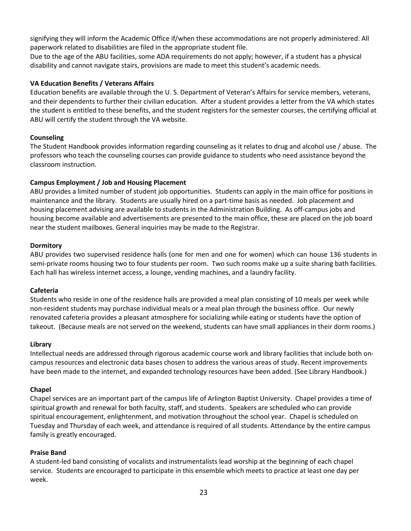signifying they will inform the Academic Office if/when these accommodations are not properly administered. All paperwork related to disabilities are filed in the appropriate student file.

Due to the age of the ABU facilities, some ADA requirements do not apply; however, if a student has a physical disability and cannot navigate stairs, provisions are made to meet this student's academic needs.

### **VA Education Benefits / Veterans Affairs**

Education benefits are available through the U. S. Department of Veteran's Affairs for service members, veterans, and their dependents to further their civilian education. After a student provides a letter from the VA which states the student is entitled to these benefits, and the student registers for the semester courses, the certifying official at ABU will certify the student through the VA website.

### **Counseling**

The Student Handbook provides information regarding counseling as it relates to drug and alcohol use / abuse. The professors who teach the counseling courses can provide guidance to students who need assistance beyond the classroom instruction.

### **Campus Employment / Job and Housing Placement**

ABU provides a limited number of student job opportunities. Students can apply in the main office for positions in maintenance and the library. Students are usually hired on a part-time basis as needed. Job placement and housing placement advising are available to students in the Administration Building. As off-campus jobs and housing become available and advertisements are presented to the main office, these are placed on the job board near the student mailboxes. General inquiries may be made to the Registrar.

### **Dormitory**

ABU provides two supervised residence halls (one for men and one for women) which can house 136 students in semi-private rooms housing two to four students per room. Two such rooms make up a suite sharing bath facilities. Each hall has wireless internet access, a lounge, vending machines, and a laundry facility.

#### **Cafeteria**

Students who reside in one of the residence halls are provided a meal plan consisting of 10 meals per week while non-resident students may purchase individual meals or a meal plan through the business office. Our newly renovated cafeteria provides a pleasant atmosphere for socializing while eating or students have the option of takeout. (Because meals are not served on the weekend, students can have small appliances in their dorm rooms.)

#### **Library**

Intellectual needs are addressed through rigorous academic course work and library facilities that include both oncampus resources and electronic data bases chosen to address the various areas of study. Recent improvements have been made to the internet, and expanded technology resources have been added. (See Library Handbook.)

#### **Chapel**

Chapel services are an important part of the campus life of Arlington Baptist University. Chapel provides a time of spiritual growth and renewal for both faculty, staff, and students. Speakers are scheduled who can provide spiritual encouragement, enlightenment, and motivation throughout the school year. Chapel is scheduled on Tuesday and Thursday of each week, and attendance is required of all students. Attendance by the entire campus family is greatly encouraged.

## **Praise Band**

A student-led band consisting of vocalists and instrumentalists lead worship at the beginning of each chapel service. Students are encouraged to participate in this ensemble which meets to practice at least one day per week.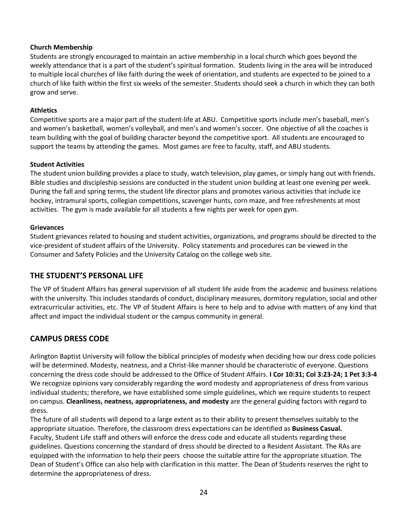#### **Church Membership**

Students are strongly encouraged to maintain an active membership in a local church which goes beyond the weekly attendance that is a part of the student's spiritual formation. Students living in the area will be introduced to multiple local churches of like faith during the week of orientation, and students are expected to be joined to a church of like faith within the first six weeks of the semester. Students should seek a church in which they can both grow and serve.

### **Athletics**

Competitive sports are a major part of the student-life at ABU. Competitive sports include men's baseball, men's and women's basketball, women's volleyball, and men's and women's soccer. One objective of all the coaches is team building with the goal of building character beyond the competitive sport. All students are encouraged to support the teams by attending the games. Most games are free to faculty, staff, and ABU students.

### **Student Activities**

The student union building provides a place to study, watch television, play games, or simply hang out with friends. Bible studies and discipleship sessions are conducted in the student union building at least one evening per week. During the fall and spring terms, the student life director plans and promotes various activities that include ice hockey, intramural sports, collegian competitions, scavenger hunts, corn maze, and free refreshments at most activities. The gym is made available for all students a few nights per week for open gym.

#### **Grievances**

Student grievances related to housing and student activities, organizations, and programs should be directed to the vice-president of student affairs of the University. Policy statements and procedures can be viewed in the Consumer and Safety Policies and the University Catalog on the college web site.

## **THE STUDENT'S PERSONAL LIFE**

The VP of Student Affairs has general supervision of all student life aside from the academic and business relations with the university. This includes standards of conduct, disciplinary measures, dormitory regulation, social and other extracurricular activities, etc. The VP of Student Affairs is here to help and to advise with matters of any kind that affect and impact the individual student or the campus community in general.

## **CAMPUS DRESS CODE**

Arlington Baptist University will follow the biblical principles of modesty when deciding how our dress code policies will be determined. Modesty, neatness, and a Christ-like manner should be characteristic of everyone. Questions concerning the dress code should be addressed to the Office of Student Affairs. **I Cor 10:31; Col 3:23-24; 1 Pet 3:3-4** We recognize opinions vary considerably regarding the word modesty and appropriateness of dress from various individual students; therefore, we have established some simple guidelines, which we require students to respect on campus. **Cleanliness, neatness, appropriateness, and modesty** are the general guiding factors with regard to dress.

The future of all students will depend to a large extent as to their ability to present themselves suitably to the appropriate situation. Therefore, the classroom dress expectations can be identified as **Business Casual.**  Faculty, Student Life staff and others will enforce the dress code and educate all students regarding these guidelines. Questions concerning the standard of dress should be directed to a Resident Assistant. The RAs are equipped with the information to help their peers choose the suitable attire for the appropriate situation. The Dean of Student's Office can also help with clarification in this matter. The Dean of Students reserves the right to determine the appropriateness of dress.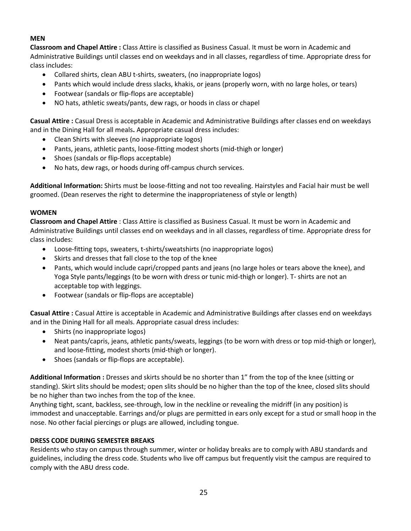## **MEN**

**Classroom and Chapel Attire :** Class Attire is classified as Business Casual. It must be worn in Academic and Administrative Buildings until classes end on weekdays and in all classes, regardless of time. Appropriate dress for class includes:

- Collared shirts, clean ABU t-shirts, sweaters, (no inappropriate logos)
- Pants which would include dress slacks, khakis, or jeans (properly worn, with no large holes, or tears)
- Footwear (sandals or flip-flops are acceptable)
- NO hats, athletic sweats/pants, dew rags, or hoods in class or chapel

**Casual Attire :** Casual Dress is acceptable in Academic and Administrative Buildings after classes end on weekdays and in the Dining Hall for all meals**.** Appropriate casual dress includes:

- Clean Shirts with sleeves (no inappropriate logos)
- Pants, jeans, athletic pants, loose-fitting modest shorts (mid-thigh or longer)
- Shoes (sandals or flip-flops acceptable)
- No hats, dew rags, or hoods during off-campus church services.

**Additional Information:** Shirts must be loose-fitting and not too revealing. Hairstyles and Facial hair must be well groomed. (Dean reserves the right to determine the inappropriateness of style or length)

### **WOMEN**

**Classroom and Chapel Attire** : Class Attire is classified as Business Casual. It must be worn in Academic and Administrative Buildings until classes end on weekdays and in all classes, regardless of time. Appropriate dress for class includes:

- Loose-fitting tops, sweaters, t-shirts/sweatshirts (no inappropriate logos)
- Skirts and dresses that fall close to the top of the knee
- Pants, which would include capri/cropped pants and jeans (no large holes or tears above the knee), and Yoga Style pants/leggings (to be worn with dress or tunic mid-thigh or longer). T- shirts are not an acceptable top with leggings.
- Footwear (sandals or flip-flops are acceptable)

**Casual Attire :** Casual Attire is acceptable in Academic and Administrative Buildings after classes end on weekdays and in the Dining Hall for all meals. Appropriate casual dress includes:

- Shirts (no inappropriate logos)
- Neat pants/capris, jeans, athletic pants/sweats, leggings (to be worn with dress or top mid-thigh or longer), and loose-fitting, modest shorts (mid-thigh or longer).
- Shoes (sandals or flip-flops are acceptable).

**Additional Information :** Dresses and skirts should be no shorter than 1" from the top of the knee (sitting or standing). Skirt slits should be modest; open slits should be no higher than the top of the knee, closed slits should be no higher than two inches from the top of the knee.

Anything tight, scant, backless, see-through, low in the neckline or revealing the midriff (in any position) is immodest and unacceptable. Earrings and/or plugs are permitted in ears only except for a stud or small hoop in the nose. No other facial piercings or plugs are allowed, including tongue.

## **DRESS CODE DURING SEMESTER BREAKS**

Residents who stay on campus through summer, winter or holiday breaks are to comply with ABU standards and guidelines, including the dress code. Students who live off campus but frequently visit the campus are required to comply with the ABU dress code.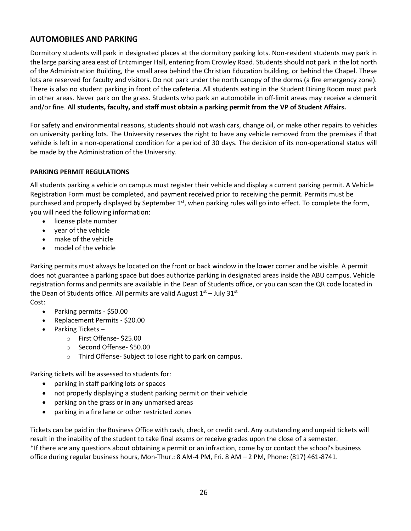## **AUTOMOBILES AND PARKING**

Dormitory students will park in designated places at the dormitory parking lots. Non-resident students may park in the large parking area east of Entzminger Hall, entering from Crowley Road. Students should not park in the lot north of the Administration Building, the small area behind the Christian Education building, or behind the Chapel. These lots are reserved for faculty and visitors. Do not park under the north canopy of the dorms (a fire emergency zone). There is also no student parking in front of the cafeteria. All students eating in the Student Dining Room must park in other areas. Never park on the grass. Students who park an automobile in off-limit areas may receive a demerit and/or fine. **All students, faculty, and staff must obtain a parking permit from the VP of Student Affairs.**

For safety and environmental reasons, students should not wash cars, change oil, or make other repairs to vehicles on university parking lots. The University reserves the right to have any vehicle removed from the premises if that vehicle is left in a non-operational condition for a period of 30 days. The decision of its non-operational status will be made by the Administration of the University.

### **PARKING PERMIT REGULATIONS**

All students parking a vehicle on campus must register their vehicle and display a current parking permit. A Vehicle Registration Form must be completed, and payment received prior to receiving the permit. Permits must be purchased and properly displayed by September  $1<sup>st</sup>$ , when parking rules will go into effect. To complete the form, you will need the following information:

- license plate number
- year of the vehicle
- make of the vehicle
- model of the vehicle

Parking permits must always be located on the front or back window in the lower corner and be visible. A permit does not guarantee a parking space but does authorize parking in designated areas inside the ABU campus. Vehicle registration forms and permits are available in the Dean of Students office, or you can scan the QR code located in the Dean of Students office. All permits are valid August  $1<sup>st</sup>$  – July 31 $<sup>st</sup>$ </sup> Cost:

- Parking permits \$50.00
- Replacement Permits \$20.00
- Parking Tickets
	- o First Offense- \$25.00
	- o Second Offense- \$50.00
	- o Third Offense- Subject to lose right to park on campus.

Parking tickets will be assessed to students for:

- parking in staff parking lots or spaces
- not properly displaying a student parking permit on their vehicle
- parking on the grass or in any unmarked areas
- parking in a fire lane or other restricted zones

Tickets can be paid in the Business Office with cash, check, or credit card. Any outstanding and unpaid tickets will result in the inability of the student to take final exams or receive grades upon the close of a semester. \*If there are any questions about obtaining a permit or an infraction, come by or contact the school's business office during regular business hours, Mon-Thur.: 8 AM-4 PM, Fri. 8 AM – 2 PM, Phone: (817) 461-8741.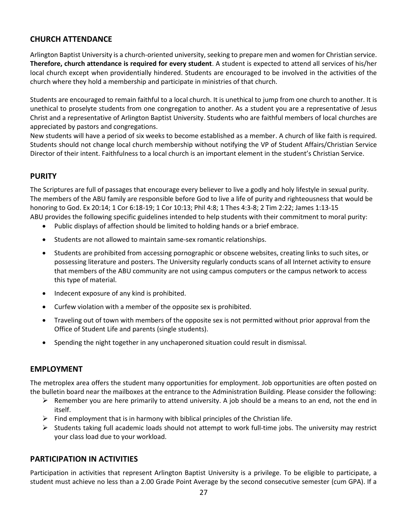## **CHURCH ATTENDANCE**

Arlington Baptist University is a church-oriented university, seeking to prepare men and women for Christian service. **Therefore, church attendance is required for every student**. A student is expected to attend all services of his/her local church except when providentially hindered. Students are encouraged to be involved in the activities of the church where they hold a membership and participate in ministries of that church.

Students are encouraged to remain faithful to a local church. It is unethical to jump from one church to another. It is unethical to proselyte students from one congregation to another. As a student you are a representative of Jesus Christ and a representative of Arlington Baptist University. Students who are faithful members of local churches are appreciated by pastors and congregations.

New students will have a period of six weeks to become established as a member. A church of like faith is required. Students should not change local church membership without notifying the VP of Student Affairs/Christian Service Director of their intent. Faithfulness to a local church is an important element in the student's Christian Service.

## **PURITY**

The Scriptures are full of passages that encourage every believer to live a godly and holy lifestyle in sexual purity. The members of the ABU family are responsible before God to live a life of purity and righteousness that would be honoring to God. Ex 20:14; 1 Cor 6:18-19; 1 Cor 10:13; Phil 4:8; 1 Thes 4:3-8; 2 Tim 2:22; James 1:13-15 ABU provides the following specific guidelines intended to help students with their commitment to moral purity:

- Public displays of affection should be limited to holding hands or a brief embrace.
- Students are not allowed to maintain same-sex romantic relationships.
- Students are prohibited from accessing pornographic or obscene websites, creating links to such sites, or possessing literature and posters. The University regularly conducts scans of all Internet activity to ensure that members of the ABU community are not using campus computers or the campus network to access this type of material.
- Indecent exposure of any kind is prohibited.
- Curfew violation with a member of the opposite sex is prohibited.
- Traveling out of town with members of the opposite sex is not permitted without prior approval from the Office of Student Life and parents (single students).
- Spending the night together in any unchaperoned situation could result in dismissal.

## **EMPLOYMENT**

The metroplex area offers the student many opportunities for employment. Job opportunities are often posted on the bulletin board near the mailboxes at the entrance to the Administration Building. Please consider the following:

- $\triangleright$  Remember you are here primarily to attend university. A job should be a means to an end, not the end in itself.
- $\triangleright$  Find employment that is in harmony with biblical principles of the Christian life.
- $\triangleright$  Students taking full academic loads should not attempt to work full-time jobs. The university may restrict your class load due to your workload.

## **PARTICIPATION IN ACTIVITIES**

Participation in activities that represent Arlington Baptist University is a privilege. To be eligible to participate, a student must achieve no less than a 2.00 Grade Point Average by the second consecutive semester (cum GPA). If a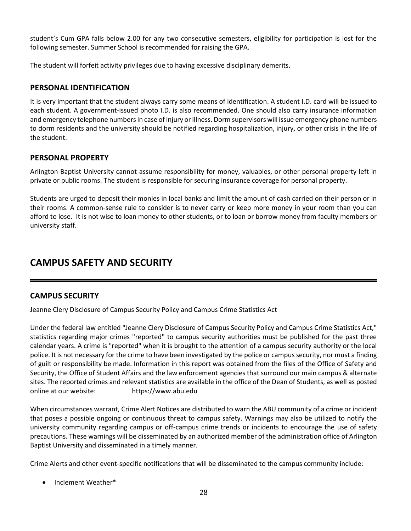student's Cum GPA falls below 2.00 for any two consecutive semesters, eligibility for participation is lost for the following semester. Summer School is recommended for raising the GPA.

The student will forfeit activity privileges due to having excessive disciplinary demerits.

## **PERSONAL IDENTIFICATION**

It is very important that the student always carry some means of identification. A student I.D. card will be issued to each student. A government-issued photo I.D. is also recommended. One should also carry insurance information and emergency telephone numbers in case of injury or illness. Dorm supervisors will issue emergency phone numbers to dorm residents and the university should be notified regarding hospitalization, injury, or other crisis in the life of the student.

## **PERSONAL PROPERTY**

Arlington Baptist University cannot assume responsibility for money, valuables, or other personal property left in private or public rooms. The student is responsible for securing insurance coverage for personal property.

Students are urged to deposit their monies in local banks and limit the amount of cash carried on their person or in their rooms. A common-sense rule to consider is to never carry or keep more money in your room than you can afford to lose. It is not wise to loan money to other students, or to loan or borrow money from faculty members or university staff.

## **CAMPUS SAFETY AND SECURITY**

## **CAMPUS SECURITY**

Jeanne Clery Disclosure of Campus Security Policy and Campus Crime Statistics Act

Under the federal law entitled "Jeanne Clery Disclosure of Campus Security Policy and Campus Crime Statistics Act," statistics regarding major crimes "reported" to campus security authorities must be published for the past three calendar years. A crime is "reported" when it is brought to the attention of a campus security authority or the local police. It is not necessary for the crime to have been investigated by the police or campus security, nor must a finding of guilt or responsibility be made. Information in this report was obtained from the files of the Office of Safety and Security, the Office of Student Affairs and the law enforcement agencies that surround our main campus & alternate sites. The reported crimes and relevant statistics are available in the office of the Dean of Students, as well as posted online at our website: https://www.abu.edu

When circumstances warrant, Crime Alert Notices are distributed to warn the ABU community of a crime or incident that poses a possible ongoing or continuous threat to campus safety. Warnings may also be utilized to notify the university community regarding campus or off-campus crime trends or incidents to encourage the use of safety precautions. These warnings will be disseminated by an authorized member of the administration office of Arlington Baptist University and disseminated in a timely manner.

Crime Alerts and other event-specific notifications that will be disseminated to the campus community include:

• Inclement Weather\*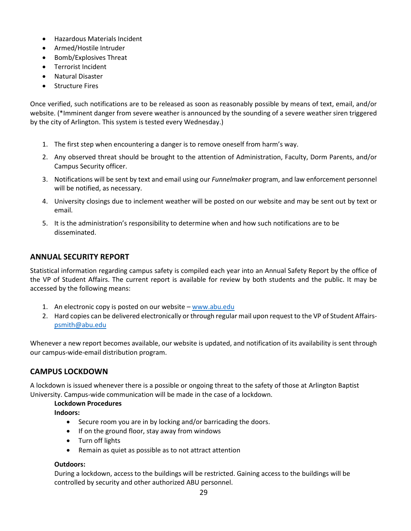- Hazardous Materials Incident
- Armed/Hostile Intruder
- Bomb/Explosives Threat
- Terrorist Incident
- Natural Disaster
- Structure Fires

Once verified, such notifications are to be released as soon as reasonably possible by means of text, email, and/or website. (\*Imminent danger from severe weather is announced by the sounding of a severe weather siren triggered by the city of Arlington. This system is tested every Wednesday.)

- 1. The first step when encountering a danger is to remove oneself from harm's way.
- 2. Any observed threat should be brought to the attention of Administration, Faculty, Dorm Parents, and/or Campus Security officer.
- 3. Notifications will be sent by text and email using our *Funnelmaker* program, and law enforcement personnel will be notified, as necessary.
- 4. University closings due to inclement weather will be posted on our website and may be sent out by text or email.
- 5. It is the administration's responsibility to determine when and how such notifications are to be disseminated.

## **ANNUAL SECURITY REPORT**

Statistical information regarding campus safety is compiled each year into an Annual Safety Report by the office of the VP of Student Affairs. The current report is available for review by both students and the public. It may be accessed by the following means:

- 1. An electronic copy is posted on our website [www.abu.edu](http://www.abu.edu/)
- 2. Hard copies can be delivered electronically or through regular mail upon request to the VP of Student Affairs[psmith@abu.edu](mailto:psmith@abu.edu)

Whenever a new report becomes available, our website is updated, and notification of its availability is sent through our campus-wide-email distribution program.

## **CAMPUS LOCKDOWN**

A lockdown is issued whenever there is a possible or ongoing threat to the safety of those at Arlington Baptist University. Campus-wide communication will be made in the case of a lockdown.

#### **Lockdown Procedures**

**Indoors:**

- Secure room you are in by locking and/or barricading the doors.
- If on the ground floor, stay away from windows
- Turn off lights
- Remain as quiet as possible as to not attract attention

#### **Outdoors:**

During a lockdown, access to the buildings will be restricted. Gaining access to the buildings will be controlled by security and other authorized ABU personnel.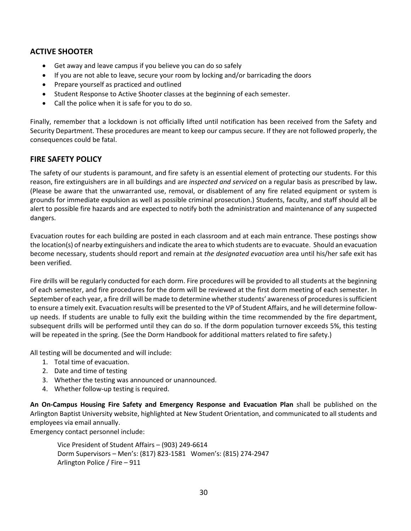## **ACTIVE SHOOTER**

- Get away and leave campus if you believe you can do so safely
- If you are not able to leave, secure your room by locking and/or barricading the doors
- Prepare yourself as practiced and outlined
- Student Response to Active Shooter classes at the beginning of each semester.
- Call the police when it is safe for you to do so.

Finally, remember that a lockdown is not officially lifted until notification has been received from the Safety and Security Department. These procedures are meant to keep our campus secure. If they are not followed properly, the consequences could be fatal.

## **FIRE SAFETY POLICY**

The safety of our students is paramount, and fire safety is an essential element of protecting our students. For this reason, fire extinguishers are in all buildings and are *inspected and serviced* on a regular basis as prescribed by law**.**  (Please be aware that the unwarranted use, removal, or disablement of any fire related equipment or system is grounds for immediate expulsion as well as possible criminal prosecution.) Students, faculty, and staff should all be alert to possible fire hazards and are expected to notify both the administration and maintenance of any suspected dangers.

Evacuation routes for each building are posted in each classroom and at each main entrance. These postings show the location(s) of nearby extinguishers and indicate the area to which students are to evacuate. Should an evacuation become necessary, students should report and remain at *the designated evacuation* area until his/her safe exit has been verified.

Fire drills will be regularly conducted for each dorm. Fire procedures will be provided to all students at the beginning of each semester, and fire procedures for the dorm will be reviewed at the first dorm meeting of each semester. In September of each year, a fire drill will be made to determine whether students' awareness of procedures is sufficient to ensure a timely exit. Evacuation results will be presented to the VP of Student Affairs, and he will determine followup needs. If students are unable to fully exit the building within the time recommended by the fire department, subsequent drills will be performed until they can do so. If the dorm population turnover exceeds 5%, this testing will be repeated in the spring. (See the Dorm Handbook for additional matters related to fire safety.)

All testing will be documented and will include:

- 1. Total time of evacuation.
- 2. Date and time of testing
- 3. Whether the testing was announced or unannounced.
- 4. Whether follow-up testing is required.

**An On-Campus Housing Fire Safety and Emergency Response and Evacuation Plan** shall be published on the Arlington Baptist University website, highlighted at New Student Orientation, and communicated to all students and employees via email annually.

Emergency contact personnel include:

Vice President of Student Affairs – (903) 249-6614 Dorm Supervisors – Men's: (817) 823-1581 Women's: (815) 274-2947 Arlington Police / Fire – 911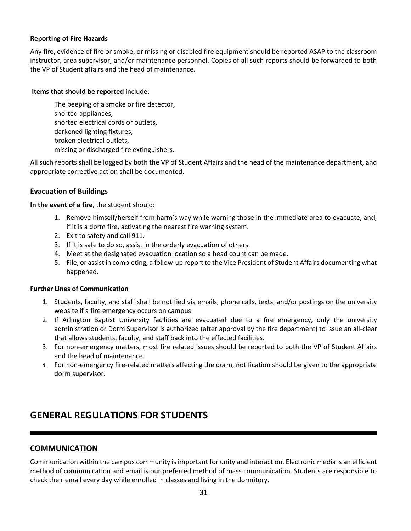#### **Reporting of Fire Hazards**

Any fire, evidence of fire or smoke, or missing or disabled fire equipment should be reported ASAP to the classroom instructor, area supervisor, and/or maintenance personnel. Copies of all such reports should be forwarded to both the VP of Student affairs and the head of maintenance.

#### **Items that should be reported** include:

The beeping of a smoke or fire detector, shorted appliances, shorted electrical cords or outlets, darkened lighting fixtures, broken electrical outlets, missing or discharged fire extinguishers.

All such reports shall be logged by both the VP of Student Affairs and the head of the maintenance department, and appropriate corrective action shall be documented.

## **Evacuation of Buildings**

**In the event of a fire**, the student should:

- 1. Remove himself/herself from harm's way while warning those in the immediate area to evacuate, and, if it is a dorm fire, activating the nearest fire warning system.
- 2. Exit to safety and call 911.
- 3. If it is safe to do so, assist in the orderly evacuation of others.
- 4. Meet at the designated evacuation location so a head count can be made.
- 5. File, or assist in completing, a follow-up report to the Vice President of Student Affairs documenting what happened.

#### **Further Lines of Communication**

- 1. Students, faculty, and staff shall be notified via emails, phone calls, texts, and/or postings on the university website if a fire emergency occurs on campus.
- 2. If Arlington Baptist University facilities are evacuated due to a fire emergency, only the university administration or Dorm Supervisor is authorized (after approval by the fire department) to issue an all-clear that allows students, faculty, and staff back into the effected facilities.
- 3. For non-emergency matters, most fire related issues should be reported to both the VP of Student Affairs and the head of maintenance.
- 4. For non-emergency fire-related matters affecting the dorm, notification should be given to the appropriate dorm supervisor.

## **GENERAL REGULATIONS FOR STUDENTS**

## **COMMUNICATION**

Communication within the campus community is important for unity and interaction. Electronic media is an efficient method of communication and email is our preferred method of mass communication. Students are responsible to check their email every day while enrolled in classes and living in the dormitory.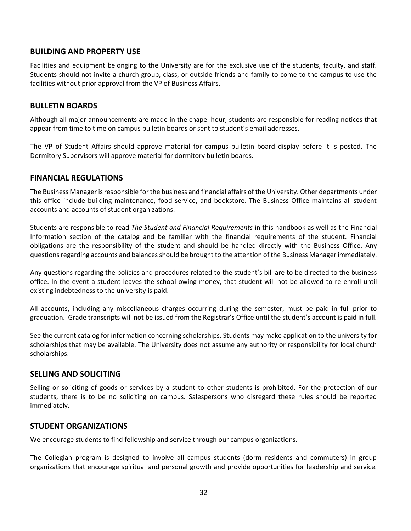## **BUILDING AND PROPERTY USE**

Facilities and equipment belonging to the University are for the exclusive use of the students, faculty, and staff. Students should not invite a church group, class, or outside friends and family to come to the campus to use the facilities without prior approval from the VP of Business Affairs.

## **BULLETIN BOARDS**

Although all major announcements are made in the chapel hour, students are responsible for reading notices that appear from time to time on campus bulletin boards or sent to student's email addresses.

The VP of Student Affairs should approve material for campus bulletin board display before it is posted. The Dormitory Supervisors will approve material for dormitory bulletin boards.

## **FINANCIAL REGULATIONS**

The Business Manager is responsible for the business and financial affairs of the University. Other departments under this office include building maintenance, food service, and bookstore. The Business Office maintains all student accounts and accounts of student organizations.

Students are responsible to read *The Student and Financial Requirements* in this handbook as well as the Financial Information section of the catalog and be familiar with the financial requirements of the student. Financial obligations are the responsibility of the student and should be handled directly with the Business Office. Any questions regarding accounts and balances should be brought to the attention of the Business Manager immediately.

Any questions regarding the policies and procedures related to the student's bill are to be directed to the business office. In the event a student leaves the school owing money, that student will not be allowed to re-enroll until existing indebtedness to the university is paid.

All accounts, including any miscellaneous charges occurring during the semester, must be paid in full prior to graduation. Grade transcripts will not be issued from the Registrar's Office until the student's account is paid in full.

See the current catalog for information concerning scholarships. Students may make application to the university for scholarships that may be available. The University does not assume any authority or responsibility for local church scholarships.

## **SELLING AND SOLICITING**

Selling or soliciting of goods or services by a student to other students is prohibited. For the protection of our students, there is to be no soliciting on campus. Salespersons who disregard these rules should be reported immediately.

## **STUDENT ORGANIZATIONS**

We encourage students to find fellowship and service through our campus organizations.

The Collegian program is designed to involve all campus students (dorm residents and commuters) in group organizations that encourage spiritual and personal growth and provide opportunities for leadership and service.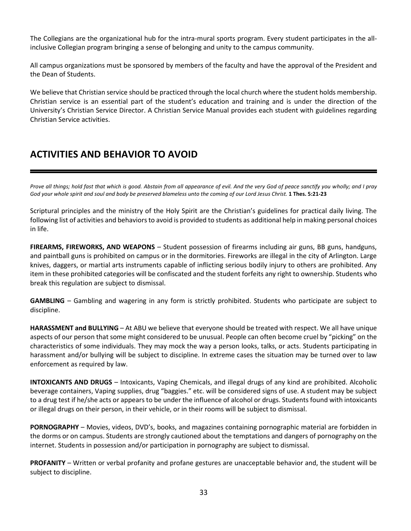The Collegians are the organizational hub for the intra-mural sports program. Every student participates in the allinclusive Collegian program bringing a sense of belonging and unity to the campus community.

All campus organizations must be sponsored by members of the faculty and have the approval of the President and the Dean of Students.

We believe that Christian service should be practiced through the local church where the student holds membership. Christian service is an essential part of the student's education and training and is under the direction of the University's Christian Service Director. A Christian Service Manual provides each student with guidelines regarding Christian Service activities.

## **ACTIVITIES AND BEHAVIOR TO AVOID**

*Prove all things; hold fast that which is good. Abstain from all appearance of evil. And the very God of peace sanctify you wholly; and I pray God your whole spirit and soul and body be preserved blameless unto the coming of our Lord Jesus Christ.* **1 Thes. 5:21-23** 

Scriptural principles and the ministry of the Holy Spirit are the Christian's guidelines for practical daily living. The following list of activities and behaviors to avoid is provided to students as additional help in making personal choices in life.

FIREARMS, FIREWORKS, AND WEAPONS - Student possession of firearms including air guns, BB guns, handguns, and paintball guns is prohibited on campus or in the dormitories. Fireworks are illegal in the city of Arlington. Large knives, daggers, or martial arts instruments capable of inflicting serious bodily injury to others are prohibited. Any item in these prohibited categories will be confiscated and the student forfeits any right to ownership. Students who break this regulation are subject to dismissal.

**GAMBLING** – Gambling and wagering in any form is strictly prohibited. Students who participate are subject to discipline.

**HARASSMENT and BULLYING** – At ABU we believe that everyone should be treated with respect. We all have unique aspects of our person that some might considered to be unusual. People can often become cruel by "picking" on the characteristics of some individuals. They may mock the way a person looks, talks, or acts. Students participating in harassment and/or bullying will be subject to discipline. In extreme cases the situation may be turned over to law enforcement as required by law.

**INTOXICANTS AND DRUGS** – Intoxicants, Vaping Chemicals, and illegal drugs of any kind are prohibited. Alcoholic beverage containers, Vaping supplies, drug "baggies." etc. will be considered signs of use. A student may be subject to a drug test if he/she acts or appears to be under the influence of alcohol or drugs. Students found with intoxicants or illegal drugs on their person, in their vehicle, or in their rooms will be subject to dismissal.

**PORNOGRAPHY** – Movies, videos, DVD's, books, and magazines containing pornographic material are forbidden in the dorms or on campus. Students are strongly cautioned about the temptations and dangers of pornography on the internet. Students in possession and/or participation in pornography are subject to dismissal.

**PROFANITY** – Written or verbal profanity and profane gestures are unacceptable behavior and, the student will be subject to discipline.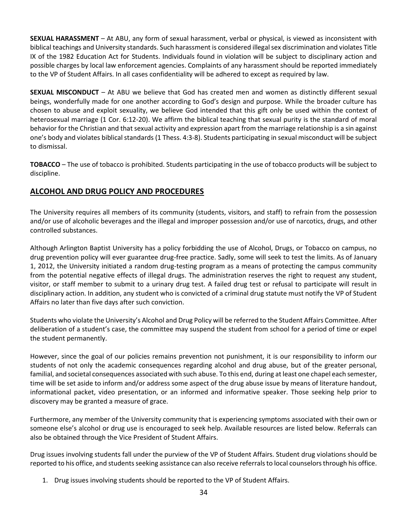**SEXUAL HARASSMENT** – At ABU, any form of sexual harassment, verbal or physical, is viewed as inconsistent with biblical teachings and University standards. Such harassment is considered illegal sex discrimination and violates Title IX of the 1982 Education Act for Students. Individuals found in violation will be subject to disciplinary action and possible charges by local law enforcement agencies. Complaints of any harassment should be reported immediately to the VP of Student Affairs. In all cases confidentiality will be adhered to except as required by law.

**SEXUAL MISCONDUCT** – At ABU we believe that God has created men and women as distinctly different sexual beings, wonderfully made for one another according to God's design and purpose. While the broader culture has chosen to abuse and exploit sexuality, we believe God intended that this gift only be used within the context of heterosexual marriage (1 Cor. 6:12-20). We affirm the biblical teaching that sexual purity is the standard of moral behavior for the Christian and that sexual activity and expression apart from the marriage relationship is a sin against one's body and violates biblical standards (1 Thess. 4:3-8). Students participating in sexual misconduct will be subject to dismissal.

**TOBACCO** – The use of tobacco is prohibited. Students participating in the use of tobacco products will be subject to discipline.

## **ALCOHOL AND DRUG POLICY AND PROCEDURES**

The University requires all members of its community (students, visitors, and staff) to refrain from the possession and/or use of alcoholic beverages and the illegal and improper possession and/or use of narcotics, drugs, and other controlled substances.

Although Arlington Baptist University has a policy forbidding the use of Alcohol, Drugs, or Tobacco on campus, no drug prevention policy will ever guarantee drug-free practice. Sadly, some will seek to test the limits. As of January 1, 2012, the University initiated a random drug-testing program as a means of protecting the campus community from the potential negative effects of illegal drugs. The administration reserves the right to request any student, visitor, or staff member to submit to a urinary drug test. A failed drug test or refusal to participate will result in disciplinary action. In addition, any student who is convicted of a criminal drug statute must notify the VP of Student Affairs no later than five days after such conviction.

Students who violate the University's Alcohol and Drug Policy will be referred to the Student Affairs Committee. After deliberation of a student's case, the committee may suspend the student from school for a period of time or expel the student permanently.

However, since the goal of our policies remains prevention not punishment, it is our responsibility to inform our students of not only the academic consequences regarding alcohol and drug abuse, but of the greater personal, familial, and societal consequences associated with such abuse. To this end, during at least one chapel each semester, time will be set aside to inform and/or address some aspect of the drug abuse issue by means of literature handout, informational packet, video presentation, or an informed and informative speaker. Those seeking help prior to discovery may be granted a measure of grace.

Furthermore, any member of the University community that is experiencing symptoms associated with their own or someone else's alcohol or drug use is encouraged to seek help. Available resources are listed below. Referrals can also be obtained through the Vice President of Student Affairs.

Drug issues involving students fall under the purview of the VP of Student Affairs. Student drug violations should be reported to his office, and students seeking assistance can also receive referrals to local counselors through his office.

1. Drug issues involving students should be reported to the VP of Student Affairs.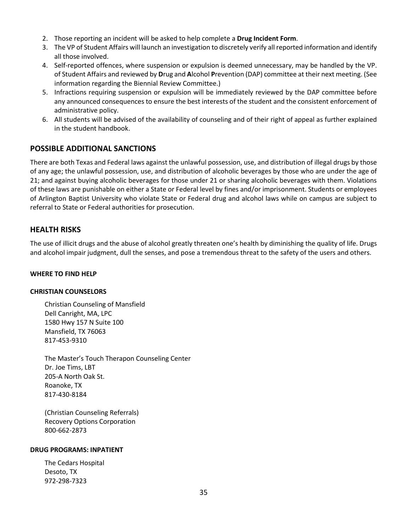- 2. Those reporting an incident will be asked to help complete a **Drug Incident Form**.
- 3. The VP of Student Affairs will launch an investigation to discretely verify all reported information and identify all those involved.
- 4. Self-reported offences, where suspension or expulsion is deemed unnecessary, may be handled by the VP. of Student Affairs and reviewed by **D**rug and **A**lcohol **P**revention (DAP) committee at their next meeting. (See information regarding the Biennial Review Committee.)
- 5. Infractions requiring suspension or expulsion will be immediately reviewed by the DAP committee before any announced consequences to ensure the best interests of the student and the consistent enforcement of administrative policy.
- 6. All students will be advised of the availability of counseling and of their right of appeal as further explained in the student handbook.

## **POSSIBLE ADDITIONAL SANCTIONS**

There are both Texas and Federal laws against the unlawful possession, use, and distribution of illegal drugs by those of any age; the unlawful possession, use, and distribution of alcoholic beverages by those who are under the age of 21; and against buying alcoholic beverages for those under 21 or sharing alcoholic beverages with them. Violations of these laws are punishable on either a State or Federal level by fines and/or imprisonment. Students or employees of Arlington Baptist University who violate State or Federal drug and alcohol laws while on campus are subject to referral to State or Federal authorities for prosecution.

## **HEALTH RISKS**

The use of illicit drugs and the abuse of alcohol greatly threaten one's health by diminishing the quality of life. Drugs and alcohol impair judgment, dull the senses, and pose a tremendous threat to the safety of the users and others.

#### **WHERE TO FIND HELP**

#### **CHRISTIAN COUNSELORS**

Christian Counseling of Mansfield Dell Canright, MA, LPC 1580 Hwy 157 N Suite 100 Mansfield, TX 76063 817-453-9310

The Master's Touch Therapon Counseling Center Dr. Joe Tims, LBT 205-A North Oak St. Roanoke, TX 817-430-8184

(Christian Counseling Referrals) Recovery Options Corporation 800-662-2873

#### **DRUG PROGRAMS: INPATIENT**

The Cedars Hospital Desoto, TX 972-298-7323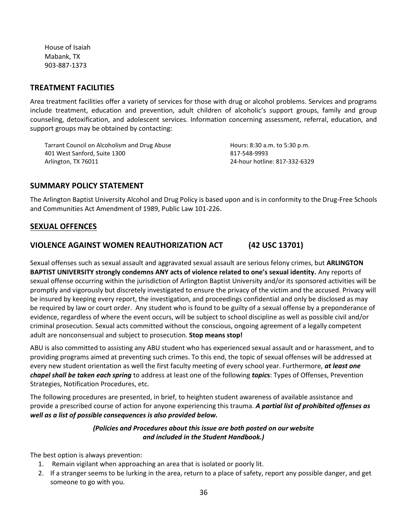House of Isaiah Mabank, TX 903-887-1373

## **TREATMENT FACILITIES**

Area treatment facilities offer a variety of services for those with drug or alcohol problems. Services and programs include treatment, education and prevention, adult children of alcoholic's support groups, family and group counseling, detoxification, and adolescent services. Information concerning assessment, referral, education, and support groups may be obtained by contacting:

Tarrant Council on Alcoholism and Drug Abuse 401 West Sanford, Suite 1300 Arlington, TX 76011

Hours: 8:30 a.m. to 5:30 p.m. 817-548-9993 24-hour hotline: 817-332-6329

## **SUMMARY POLICY STATEMENT**

The Arlington Baptist University Alcohol and Drug Policy is based upon and is in conformity to the Drug-Free Schools and Communities Act Amendment of 1989, Public Law 101-226.

## **SEXUAL OFFENCES**

## **VIOLENCE AGAINST WOMEN REAUTHORIZATION ACT (42 USC 13701)**

Sexual offenses such as sexual assault and aggravated sexual assault are serious felony crimes, but **ARLINGTON BAPTIST UNIVERSITY strongly condemns ANY acts of violence related to one's sexual identity.** Any reports of sexual offense occurring within the jurisdiction of Arlington Baptist University and/or its sponsored activities will be promptly and vigorously but discretely investigated to ensure the privacy of the victim and the accused. Privacy will be insured by keeping every report, the investigation, and proceedings confidential and only be disclosed as may be required by law or court order. Any student who is found to be guilty of a sexual offense by a preponderance of evidence, regardless of where the event occurs, will be subject to school discipline as well as possible civil and/or criminal prosecution. Sexual acts committed without the conscious, ongoing agreement of a legally competent adult are nonconsensual and subject to prosecution. **Stop means stop!**

ABU is also committed to assisting any ABU student who has experienced sexual assault and or harassment, and to providing programs aimed at preventing such crimes. To this end, the topic of sexual offenses will be addressed at every new student orientation as well the first faculty meeting of every school year. Furthermore, *at least one chapel shall be taken each spring* to address at least one of the following *topic***s**: Types of Offenses, Prevention Strategies, Notification Procedures, etc.

The following procedures are presented, in brief, to heighten student awareness of available assistance and provide a prescribed course of action for anyone experiencing this trauma. *A partial list of prohibited offenses as well as a list of possible consequences is also provided below.* 

## *(Policies and Procedures about this issue are both posted on our website and included in the Student Handbook.)*

The best option is always prevention:

- 1. Remain vigilant when approaching an area that is isolated or poorly lit.
- 2. If a stranger seems to be lurking in the area, return to a place of safety, report any possible danger, and get someone to go with you.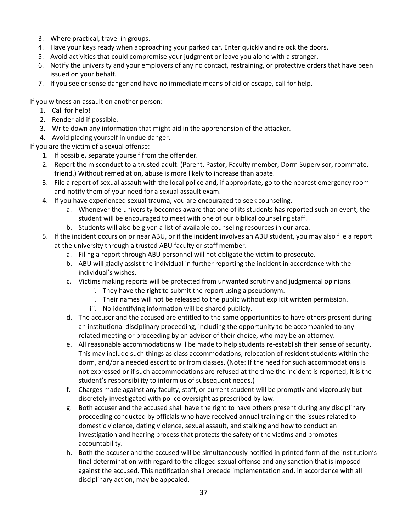- 3. Where practical, travel in groups.
- 4. Have your keys ready when approaching your parked car. Enter quickly and relock the doors.
- 5. Avoid activities that could compromise your judgment or leave you alone with a stranger.
- 6. Notify the university and your employers of any no contact, restraining, or protective orders that have been issued on your behalf.
- 7. If you see or sense danger and have no immediate means of aid or escape, call for help.

If you witness an assault on another person:

- 1. Call for help!
- 2. Render aid if possible.
- 3. Write down any information that might aid in the apprehension of the attacker.
- 4. Avoid placing yourself in undue danger.

If you are the victim of a sexual offense:

- 1. If possible, separate yourself from the offender.
- 2. Report the misconduct to a trusted adult. (Parent, Pastor, Faculty member, Dorm Supervisor, roommate, friend.) Without remediation, abuse is more likely to increase than abate.
- 3. File a report of sexual assault with the local police and, if appropriate, go to the nearest emergency room and notify them of your need for a sexual assault exam.
- 4. If you have experienced sexual trauma, you are encouraged to seek counseling.
	- a. Whenever the university becomes aware that one of its students has reported such an event, the student will be encouraged to meet with one of our biblical counseling staff.
	- b. Students will also be given a list of available counseling resources in our area.
- 5. If the incident occurs on or near ABU, or if the incident involves an ABU student, you may also file a report at the university through a trusted ABU faculty or staff member.
	- a. Filing a report through ABU personnel will not obligate the victim to prosecute.
	- b. ABU will gladly assist the individual in further reporting the incident in accordance with the individual's wishes.
	- c. Victims making reports will be protected from unwanted scrutiny and judgmental opinions.
		- i. They have the right to submit the report using a pseudonym.
		- ii. Their names will not be released to the public without explicit written permission.
		- iii. No identifying information will be shared publicly.
	- d. The accuser and the accused are entitled to the same opportunities to have others present during an institutional disciplinary proceeding, including the opportunity to be accompanied to any related meeting or proceeding by an advisor of their choice, who may be an attorney.
	- e. All reasonable accommodations will be made to help students re-establish their sense of security. This may include such things as class accommodations, relocation of resident students within the dorm, and/or a needed escort to or from classes. (Note: If the need for such accommodations is not expressed or if such accommodations are refused at the time the incident is reported, it is the student's responsibility to inform us of subsequent needs.)
	- f. Charges made against any faculty, staff, or current student will be promptly and vigorously but discretely investigated with police oversight as prescribed by law.
	- g. Both accuser and the accused shall have the right to have others present during any disciplinary proceeding conducted by officials who have received annual training on the issues related to domestic violence, dating violence, sexual assault, and stalking and how to conduct an investigation and hearing process that protects the safety of the victims and promotes accountability.
	- h. Both the accuser and the accused will be simultaneously notified in printed form of the institution's final determination with regard to the alleged sexual offense and any sanction that is imposed against the accused. This notification shall precede implementation and, in accordance with all disciplinary action, may be appealed.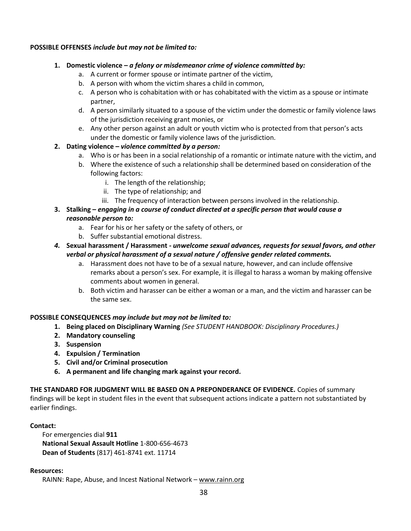#### **POSSIBLE OFFENSES** *include but may not be limited to:*

- **1. Domestic violence –** *a felony or misdemeanor crime of violence committed by:*
	- a. A current or former spouse or intimate partner of the victim,
	- b. A person with whom the victim shares a child in common,
	- c. A person who is cohabitation with or has cohabitated with the victim as a spouse or intimate partner,
	- d. A person similarly situated to a spouse of the victim under the domestic or family violence laws of the jurisdiction receiving grant monies, or
	- e. Any other person against an adult or youth victim who is protected from that person's acts under the domestic or family violence laws of the jurisdiction.
- **2. Dating violence –** *violence committed by a person:*
	- a. Who is or has been in a social relationship of a romantic or intimate nature with the victim, and
	- b. Where the existence of such a relationship shall be determined based on consideration of the following factors:
		- i. The length of the relationship;
		- ii. The type of relationship; and
		- iii. The frequency of interaction between persons involved in the relationship.
- **3. Stalking –** *engaging in a course of conduct directed at a specific person that would cause a reasonable person to:*
	- a. Fear for his or her safety or the safety of others, or
	- b. Suffer substantial emotional distress.
- *4.* **Sexual harassment / Harassment** *- unwelcome sexual advances, requests for sexual favors, and other verbal or physical harassment of a sexual nature / offensive gender related comments.*
	- a. Harassment does not have to be of a sexual nature, however, and can include offensive remarks about a person's sex. For example, it is illegal to harass a woman by making offensive comments about women in general.
	- b. Both victim and harasser can be either a woman or a man, and the victim and harasser can be the same sex.

## **POSSIBLE CONSEQUENCES** *may include but may not be limited to:*

- **1. Being placed on Disciplinary Warning** *(See STUDENT HANDBOOK: Disciplinary Procedures.)*
- **2. Mandatory counseling**
- **3. Suspension**
- **4. Expulsion / Termination**
- **5. Civil and/or Criminal prosecution**
- **6. A permanent and life changing mark against your record.**

**THE STANDARD FOR JUDGMENT WILL BE BASED ON A PREPONDERANCE OF EVIDENCE.** Copies of summary findings will be kept in student files in the event that subsequent actions indicate a pattern not substantiated by earlier findings.

#### **Contact:**

For emergencies dial **911 National Sexual Assault Hotline** 1-800-656-4673 **Dean of Students** (817) 461-8741 ext. 11714

#### **Resources:**

RAINN: Rape, Abuse, and Incest National Network – [www.rainn.org](http://www.rainn.org/)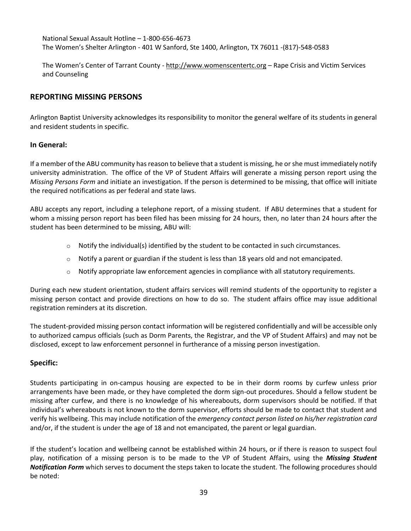National Sexual Assault Hotline – 1-800-656-4673 The Women's Shelter Arlington - 401 W Sanford, Ste 1400, Arlington, TX 76011 -(817)-548-0583

The Women's Center of Tarrant County - [http://www.womenscentertc.org](http://www.womenscentertc.org/) - Rape Crisis and Victim Services and Counseling

## **REPORTING MISSING PERSONS**

Arlington Baptist University acknowledges its responsibility to monitor the general welfare of its students in general and resident students in specific.

#### **In General:**

If a member of the ABU community has reason to believe that a student is missing, he or she must immediately notify university administration. The office of the VP of Student Affairs will generate a missing person report using the *Missing Persons Form* and initiate an investigation. If the person is determined to be missing, that office will initiate the required notifications as per federal and state laws.

ABU accepts any report, including a telephone report, of a missing student. If ABU determines that a student for whom a missing person report has been filed has been missing for 24 hours, then, no later than 24 hours after the student has been determined to be missing, ABU will:

- $\circ$  Notify the individual(s) identified by the student to be contacted in such circumstances.
- $\circ$  Notify a parent or guardian if the student is less than 18 years old and not emancipated.
- $\circ$  Notify appropriate law enforcement agencies in compliance with all statutory requirements.

During each new student orientation, student affairs services will remind students of the opportunity to register a missing person contact and provide directions on how to do so. The student affairs office may issue additional registration reminders at its discretion.

The student-provided missing person contact information will be registered confidentially and will be accessible only to authorized campus officials (such as Dorm Parents, the Registrar, and the VP of Student Affairs) and may not be disclosed, except to law enforcement personnel in furtherance of a missing person investigation.

## **Specific:**

Students participating in on-campus housing are expected to be in their dorm rooms by curfew unless prior arrangements have been made, or they have completed the dorm sign-out procedures. Should a fellow student be missing after curfew, and there is no knowledge of his whereabouts, dorm supervisors should be notified. If that individual's whereabouts is not known to the dorm supervisor, efforts should be made to contact that student and verify his wellbeing. This may include notification of the *emergency contact person listed on his/her registration card* and/or, if the student is under the age of 18 and not emancipated, the parent or legal guardian.

If the student's location and wellbeing cannot be established within 24 hours, or if there is reason to suspect foul play, notification of a missing person is to be made to the VP of Student Affairs, using the *Missing Student Notification Form* which serves to document the steps taken to locate the student. The following procedures should be noted: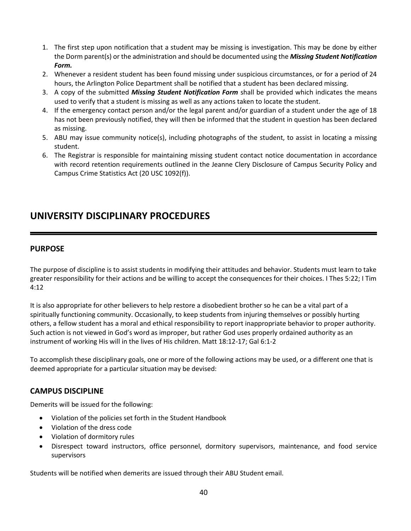- 1. The first step upon notification that a student may be missing is investigation. This may be done by either the Dorm parent(s) or the administration and should be documented using the *Missing Student Notification Form.*
- 2. Whenever a resident student has been found missing under suspicious circumstances, or for a period of 24 hours, the Arlington Police Department shall be notified that a student has been declared missing.
- 3. A copy of the submitted *Missing Student Notification Form* shall be provided which indicates the means used to verify that a student is missing as well as any actions taken to locate the student.
- 4. If the emergency contact person and/or the legal parent and/or guardian of a student under the age of 18 has not been previously notified, they will then be informed that the student in question has been declared as missing.
- 5. ABU may issue community notice(s), including photographs of the student, to assist in locating a missing student.
- 6. The Registrar is responsible for maintaining missing student contact notice documentation in accordance with record retention requirements outlined in the Jeanne Clery Disclosure of Campus Security Policy and Campus Crime Statistics Act (20 USC 1092(f)).

## **UNIVERSITY DISCIPLINARY PROCEDURES**

## **PURPOSE**

The purpose of discipline is to assist students in modifying their attitudes and behavior. Students must learn to take greater responsibility for their actions and be willing to accept the consequences for their choices. I Thes 5:22; I Tim 4:12

It is also appropriate for other believers to help restore a disobedient brother so he can be a vital part of a spiritually functioning community. Occasionally, to keep students from injuring themselves or possibly hurting others, a fellow student has a moral and ethical responsibility to report inappropriate behavior to proper authority. Such action is not viewed in God's word as improper, but rather God uses properly ordained authority as an instrument of working His will in the lives of His children. Matt 18:12-17; Gal 6:1-2

To accomplish these disciplinary goals, one or more of the following actions may be used, or a different one that is deemed appropriate for a particular situation may be devised:

## **CAMPUS DISCIPLINE**

Demerits will be issued for the following:

- Violation of the policies set forth in the Student Handbook
- Violation of the dress code
- Violation of dormitory rules
- Disrespect toward instructors, office personnel, dormitory supervisors, maintenance, and food service supervisors

Students will be notified when demerits are issued through their ABU Student email.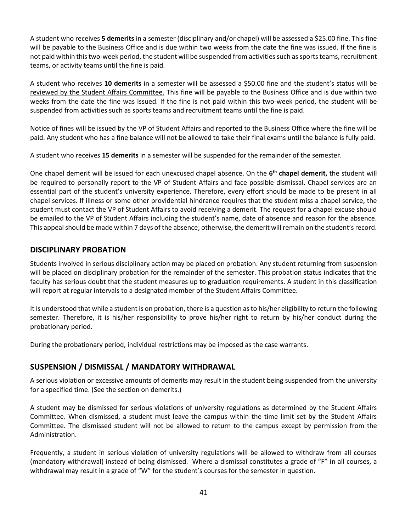A student who receives **5 demerits** in a semester (disciplinary and/or chapel) will be assessed a \$25.00 fine. This fine will be payable to the Business Office and is due within two weeks from the date the fine was issued. If the fine is not paid within this two-week period, the student will be suspended from activities such as sports teams, recruitment teams, or activity teams until the fine is paid.

A student who receives **10 demerits** in a semester will be assessed a \$50.00 fine and the student's status will be reviewed by the Student Affairs Committee. This fine will be payable to the Business Office and is due within two weeks from the date the fine was issued. If the fine is not paid within this two-week period, the student will be suspended from activities such as sports teams and recruitment teams until the fine is paid.

Notice of fines will be issued by the VP of Student Affairs and reported to the Business Office where the fine will be paid. Any student who has a fine balance will not be allowed to take their final exams until the balance is fully paid.

A student who receives **15 demerits** in a semester will be suspended for the remainder of the semester.

One chapel demerit will be issued for each unexcused chapel absence. On the **6 th chapel demerit,** the student will be required to personally report to the VP of Student Affairs and face possible dismissal. Chapel services are an essential part of the student's university experience. Therefore, every effort should be made to be present in all chapel services. If illness or some other providential hindrance requires that the student miss a chapel service, the student must contact the VP of Student Affairs to avoid receiving a demerit. The request for a chapel excuse should be emailed to the VP of Student Affairs including the student's name, date of absence and reason for the absence. This appeal should be made within 7 days of the absence; otherwise, the demerit will remain on the student's record.

## **DISCIPLINARY PROBATION**

Students involved in serious disciplinary action may be placed on probation. Any student returning from suspension will be placed on disciplinary probation for the remainder of the semester. This probation status indicates that the faculty has serious doubt that the student measures up to graduation requirements. A student in this classification will report at regular intervals to a designated member of the Student Affairs Committee.

It is understood that while a student is on probation, there is a question as to his/her eligibility to return the following semester. Therefore, it is his/her responsibility to prove his/her right to return by his/her conduct during the probationary period.

During the probationary period, individual restrictions may be imposed as the case warrants.

## **SUSPENSION / DISMISSAL / MANDATORY WITHDRAWAL**

A serious violation or excessive amounts of demerits may result in the student being suspended from the university for a specified time. (See the section on demerits.)

A student may be dismissed for serious violations of university regulations as determined by the Student Affairs Committee. When dismissed, a student must leave the campus within the time limit set by the Student Affairs Committee. The dismissed student will not be allowed to return to the campus except by permission from the Administration.

Frequently, a student in serious violation of university regulations will be allowed to withdraw from all courses (mandatory withdrawal) instead of being dismissed. Where a dismissal constitutes a grade of "F" in all courses, a withdrawal may result in a grade of "W" for the student's courses for the semester in question.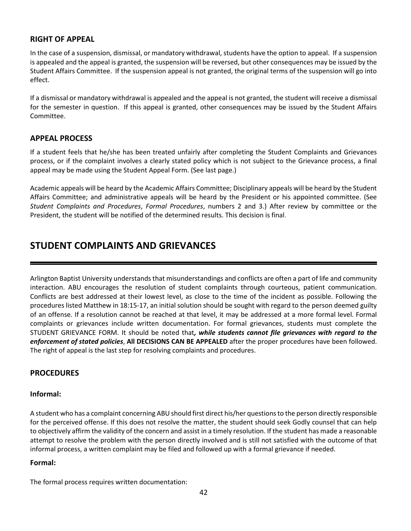## **RIGHT OF APPEAL**

In the case of a suspension, dismissal, or mandatory withdrawal, students have the option to appeal. If a suspension is appealed and the appeal is granted, the suspension will be reversed, but other consequences may be issued by the Student Affairs Committee. If the suspension appeal is not granted, the original terms of the suspension will go into effect.

If a dismissal or mandatory withdrawal is appealed and the appeal is not granted, the student will receive a dismissal for the semester in question. If this appeal is granted, other consequences may be issued by the Student Affairs Committee.

## **APPEAL PROCESS**

If a student feels that he/she has been treated unfairly after completing the Student Complaints and Grievances process, or if the complaint involves a clearly stated policy which is not subject to the Grievance process, a final appeal may be made using the Student Appeal Form. (See last page.)

Academic appeals will be heard by the Academic Affairs Committee; Disciplinary appeals will be heard by the Student Affairs Committee; and administrative appeals will be heard by the President or his appointed committee. (See *Student Complaints and Procedures*, *Formal Procedures*, numbers 2 and 3.) After review by committee or the President, the student will be notified of the determined results. This decision is final.

## **STUDENT COMPLAINTS AND GRIEVANCES**

Arlington Baptist University understands that misunderstandings and conflicts are often a part of life and community interaction. ABU encourages the resolution of student complaints through courteous, patient communication. Conflicts are best addressed at their lowest level, as close to the time of the incident as possible. Following the procedures listed Matthew in 18:15-17, an initial solution should be sought with regard to the person deemed guilty of an offense. If a resolution cannot be reached at that level, it may be addressed at a more formal level. Formal complaints or grievances include written documentation. For formal grievances, students must complete the STUDENT GRIEVANCE FORM. It should be noted that*, while students cannot file grievances with regard to the enforcement of stated policies*, **All DECISIONS CAN BE APPEALED** after the proper procedures have been followed. The right of appeal is the last step for resolving complaints and procedures.

## **PROCEDURES**

#### **Informal:**

A student who has a complaint concerning ABU should first direct his/her questions to the person directly responsible for the perceived offense. If this does not resolve the matter, the student should seek Godly counsel that can help to objectively affirm the validity of the concern and assist in a timely resolution. If the student has made a reasonable attempt to resolve the problem with the person directly involved and is still not satisfied with the outcome of that informal process, a written complaint may be filed and followed up with a formal grievance if needed.

#### **Formal:**

The formal process requires written documentation: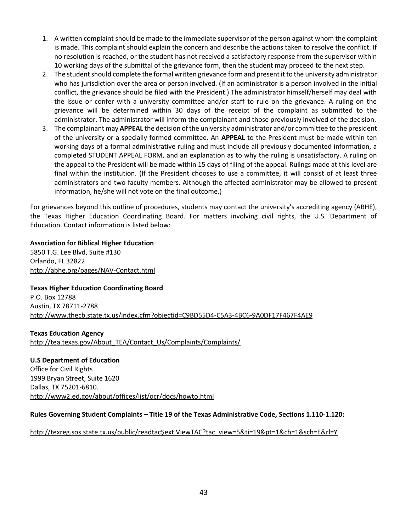- 1. A written complaint should be made to the immediate supervisor of the person against whom the complaint is made. This complaint should explain the concern and describe the actions taken to resolve the conflict. If no resolution is reached, or the student has not received a satisfactory response from the supervisor within 10 working days of the submittal of the grievance form, then the student may proceed to the next step.
- 2. The student should complete the formal written grievance form and present it to the university administrator who has jurisdiction over the area or person involved. (If an administrator is a person involved in the initial conflict, the grievance should be filed with the President.) The administrator himself/herself may deal with the issue or confer with a university committee and/or staff to rule on the grievance. A ruling on the grievance will be determined within 30 days of the receipt of the complaint as submitted to the administrator. The administrator will inform the complainant and those previously involved of the decision.
- 3. The complainant may **APPEAL** the decision of the university administrator and/or committee to the president of the university or a specially formed committee. An **APPEAL** to the President must be made within ten working days of a formal administrative ruling and must include all previously documented information, a completed STUDENT APPEAL FORM, and an explanation as to why the ruling is unsatisfactory. A ruling on the appeal to the President will be made within 15 days of filing of the appeal. Rulings made at this level are final within the institution. (If the President chooses to use a committee, it will consist of at least three administrators and two faculty members. Although the affected administrator may be allowed to present information, he/she will not vote on the final outcome.)

For grievances beyond this outline of procedures, students may contact the university's accrediting agency (ABHE), the Texas Higher Education Coordinating Board. For matters involving civil rights, the U.S. Department of Education. Contact information is listed below:

**Association for Biblical Higher Education** 5850 T.G. Lee Blvd, Suite #130 Orlando, FL 32822 <http://abhe.org/pages/NAV-Contact.html>

## **Texas Higher Education Coordinating Board**

P.O. Box 12788 Austin, TX 78711-2788 <http://www.thecb.state.tx.us/index.cfm?objectid=C9BD55D4-C5A3-4BC6-9A0DF17F467F4AE9>

**Texas Education Agency** [http://tea.texas.gov/About\\_TEA/Contact\\_Us/Complaints/Complaints/](http://tea.texas.gov/About_TEA/Contact_Us/Complaints/Complaints/)

**U.S Department of Education** Office for Civil Rights 1999 Bryan Street, Suite 1620 Dallas, TX 75201-6810. <http://www2.ed.gov/about/offices/list/ocr/docs/howto.html>

#### **Rules Governing Student Complaints – Title 19 of the Texas Administrative Code, Sections 1.110-1.120:**

#### [http://texreg.sos.state.tx.us/public/readtac\\$ext.ViewTAC?tac\\_view=5&ti=19&pt=1&ch=1&sch=E&rl=Y](http://texreg.sos.state.tx.us/public/readtac$ext.ViewTAC?tac_view=5&ti=19&pt=1&ch=1&sch=E&rl=Y)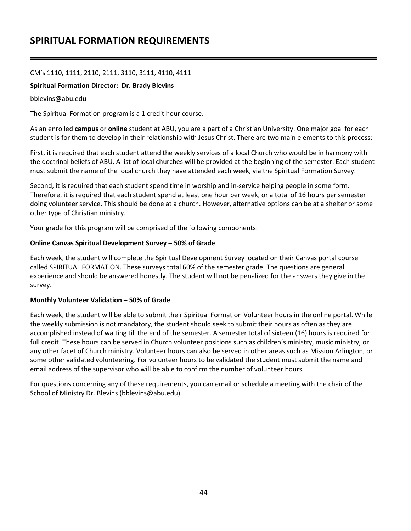## **SPIRITUAL FORMATION REQUIREMENTS**

#### CM's 1110, 1111, 2110, 2111, 3110, 3111, 4110, 4111

#### **Spiritual Formation Director: Dr. Brady Blevins**

#### bblevins@abu.edu

The Spiritual Formation program is a **1** credit hour course.

As an enrolled **campus** or **online** student at ABU, you are a part of a Christian University. One major goal for each student is for them to develop in their relationship with Jesus Christ. There are two main elements to this process:

First, it is required that each student attend the weekly services of a local Church who would be in harmony with the doctrinal beliefs of ABU. A list of local churches will be provided at the beginning of the semester. Each student must submit the name of the local church they have attended each week, via the Spiritual Formation Survey.

Second, it is required that each student spend time in worship and in-service helping people in some form. Therefore, it is required that each student spend at least one hour per week, or a total of 16 hours per semester doing volunteer service. This should be done at a church. However, alternative options can be at a shelter or some other type of Christian ministry.

Your grade for this program will be comprised of the following components:

#### **Online Canvas Spiritual Development Survey – 50% of Grade**

Each week, the student will complete the Spiritual Development Survey located on their Canvas portal course called SPIRITUAL FORMATION. These surveys total 60% of the semester grade. The questions are general experience and should be answered honestly. The student will not be penalized for the answers they give in the survey.

#### **Monthly Volunteer Validation – 50% of Grade**

Each week, the student will be able to submit their Spiritual Formation Volunteer hours in the online portal. While the weekly submission is not mandatory, the student should seek to submit their hours as often as they are accomplished instead of waiting till the end of the semester. A semester total of sixteen (16) hours is required for full credit. These hours can be served in Church volunteer positions such as children's ministry, music ministry, or any other facet of Church ministry. Volunteer hours can also be served in other areas such as Mission Arlington, or some other validated volunteering. For volunteer hours to be validated the student must submit the name and email address of the supervisor who will be able to confirm the number of volunteer hours.

For questions concerning any of these requirements, you can email or schedule a meeting with the chair of the School of Ministry Dr. Blevins (bblevins@abu.edu).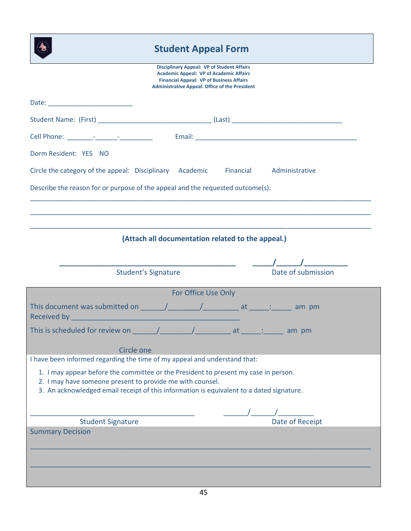## **Student Appeal Form**

| <b>Disciplinary Appeal: VP of Student Affairs</b><br><b>Academic Appeal: VP of Academic Affairs</b><br><b>Financial Appeal: VP of Business Affairs</b>                                                                                                                                                                              |
|-------------------------------------------------------------------------------------------------------------------------------------------------------------------------------------------------------------------------------------------------------------------------------------------------------------------------------------|
| <b>Administrative Appeal: Office of the President</b>                                                                                                                                                                                                                                                                               |
|                                                                                                                                                                                                                                                                                                                                     |
| Cell Phone: The Contract of the Contract of the Contract of the Contract of the Contract of the Contract of the Contract of the Contract of the Contract of the Contract of the Contract of the Contract of the Contract of th                                                                                                      |
| Dorm Resident: YES NO                                                                                                                                                                                                                                                                                                               |
| Circle the category of the appeal: Disciplinary Academic<br>Financial<br>Administrative                                                                                                                                                                                                                                             |
| Describe the reason for or purpose of the appeal and the requested outcome(s):                                                                                                                                                                                                                                                      |
|                                                                                                                                                                                                                                                                                                                                     |
|                                                                                                                                                                                                                                                                                                                                     |
| (Attach all documentation related to the appeal.)                                                                                                                                                                                                                                                                                   |
|                                                                                                                                                                                                                                                                                                                                     |
| Date of submission<br><b>Student's Signature</b>                                                                                                                                                                                                                                                                                    |
| For Office Use Only                                                                                                                                                                                                                                                                                                                 |
| This document was submitted on ______/__________/________________ at _______: _______ am pm<br>Received by <b>Executive Contract Contract Contract Contract Contract Contract Contract Contract Contract Contract Contract Contract Contract Contract Contract Contract Contract Contract Contract Contract Contract Contract C</b> |
| This is scheduled for review on $\frac{1}{\sqrt{1-\frac{1}{2}}}\sqrt{1-\frac{1}{2-\frac{1}{2}}}}$ at $\frac{1}{\sqrt{1-\frac{1}{2}-\frac{1}{2}}}\$ am pm                                                                                                                                                                            |
| Circle one                                                                                                                                                                                                                                                                                                                          |
| I have been informed regarding the time of my appeal and understand that:                                                                                                                                                                                                                                                           |
| 1. I may appear before the committee or the President to present my case in person.<br>2. I may have someone present to provide me with counsel.<br>3. An acknowledged email receipt of this information is equivalent to a dated signature.                                                                                        |
|                                                                                                                                                                                                                                                                                                                                     |
| Date of Receipt<br><b>Student Signature</b>                                                                                                                                                                                                                                                                                         |
| <b>Summary Decision</b>                                                                                                                                                                                                                                                                                                             |
|                                                                                                                                                                                                                                                                                                                                     |
|                                                                                                                                                                                                                                                                                                                                     |
|                                                                                                                                                                                                                                                                                                                                     |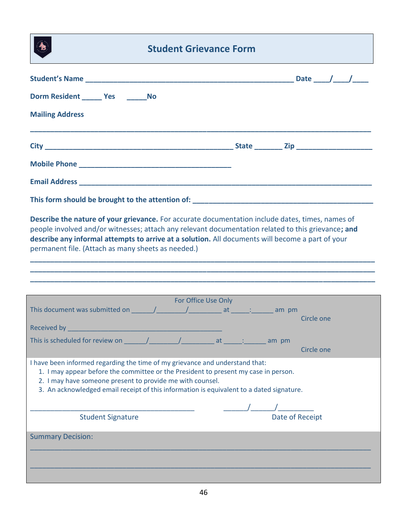## **Student Grievance Form**

| Dorm Resident _______ Yes ________ No                                                                                                                                                                                                                                                                                        |                                                                                                    |
|------------------------------------------------------------------------------------------------------------------------------------------------------------------------------------------------------------------------------------------------------------------------------------------------------------------------------|----------------------------------------------------------------------------------------------------|
| <b>Mailing Address</b>                                                                                                                                                                                                                                                                                                       |                                                                                                    |
|                                                                                                                                                                                                                                                                                                                              |                                                                                                    |
|                                                                                                                                                                                                                                                                                                                              |                                                                                                    |
|                                                                                                                                                                                                                                                                                                                              |                                                                                                    |
|                                                                                                                                                                                                                                                                                                                              |                                                                                                    |
| describe any informal attempts to arrive at a solution. All documents will become a part of your<br>permanent file. (Attach as many sheets as needed.)                                                                                                                                                                       | people involved and/or witnesses; attach any relevant documentation related to this grievance; and |
|                                                                                                                                                                                                                                                                                                                              |                                                                                                    |
|                                                                                                                                                                                                                                                                                                                              | <b>Example 1 For Office Use Only</b>                                                               |
|                                                                                                                                                                                                                                                                                                                              | Circle one                                                                                         |
|                                                                                                                                                                                                                                                                                                                              |                                                                                                    |
|                                                                                                                                                                                                                                                                                                                              | Circle one                                                                                         |
| I have been informed regarding the time of my grievance and understand that:<br>1. I may appear before the committee or the President to present my case in person.<br>2. I may have someone present to provide me with counsel.<br>3. An acknowledged email receipt of this information is equivalent to a dated signature. |                                                                                                    |
|                                                                                                                                                                                                                                                                                                                              |                                                                                                    |
| <b>Student Signature</b>                                                                                                                                                                                                                                                                                                     |                                                                                                    |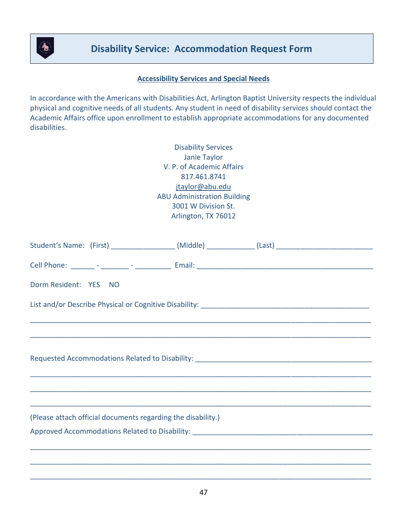

## **Accessibility Services and Special Needs**

In accordance with the Americans with Disabilities Act, Arlington Baptist University respects the individual physical and cognitive needs of all students. Any student in need of disability services should contact the Academic Affairs office upon enrollment to establish appropriate accommodations for any documented disabilities.

| <b>Disability Services</b>         |
|------------------------------------|
| Janie Taylor                       |
| V. P. of Academic Affairs          |
| 817.461.8741                       |
| jtaylor@abu.edu                    |
| <b>ABU Administration Building</b> |
| 3001 W Division St.                |
| Arlington, TX 76012                |

| Student's Name: (First) _________________(Middle) ____________(Last) ______________________________                                                                  |  |
|----------------------------------------------------------------------------------------------------------------------------------------------------------------------|--|
|                                                                                                                                                                      |  |
| Dorm Resident: YES NO                                                                                                                                                |  |
|                                                                                                                                                                      |  |
|                                                                                                                                                                      |  |
|                                                                                                                                                                      |  |
|                                                                                                                                                                      |  |
| ,一个人的人都是一个人的人,我们就是一个人的人,我们就是一个人的人,我们就是一个人的人,我们就是一个人的人,我们就是一个人的人,我们就是一个人的人,我们就是一个<br>第一百一十一章 一个人的人,我们就是一个人的人,我们就是一个人的人,我们就是一个人的人,我们就是一个人的人,我们就是一个人的人,我们就是一个人的人,我们就是一个 |  |
|                                                                                                                                                                      |  |
| (Please attach official documents regarding the disability.)                                                                                                         |  |
|                                                                                                                                                                      |  |
|                                                                                                                                                                      |  |
|                                                                                                                                                                      |  |
|                                                                                                                                                                      |  |